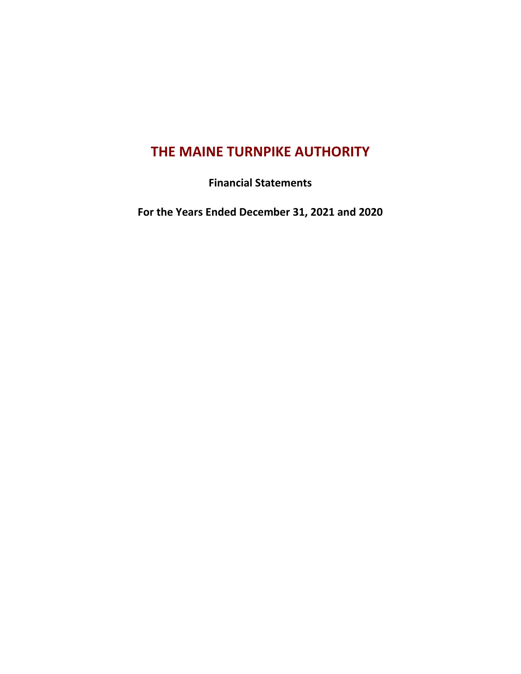# **THE MAINE TURNPIKE AUTHORITY**

**Financial Statements**

**For the Years Ended December 31, 2021 and 2020**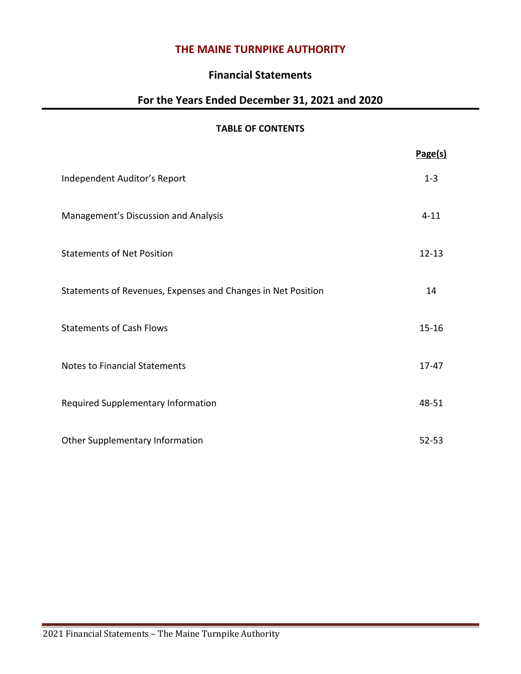# **THE MAINE TURNPIKE AUTHORITY**

# **Financial Statements**

# **For the Years Ended December 31, 2021 and 2020**

# **TABLE OF CONTENTS**

|                                                              | Page(s)   |
|--------------------------------------------------------------|-----------|
| Independent Auditor's Report                                 | $1 - 3$   |
| Management's Discussion and Analysis                         | $4 - 11$  |
| <b>Statements of Net Position</b>                            | $12 - 13$ |
| Statements of Revenues, Expenses and Changes in Net Position | 14        |
| <b>Statements of Cash Flows</b>                              | $15 - 16$ |
| <b>Notes to Financial Statements</b>                         | $17 - 47$ |
| Required Supplementary Information                           | 48-51     |
| Other Supplementary Information                              | $52 - 53$ |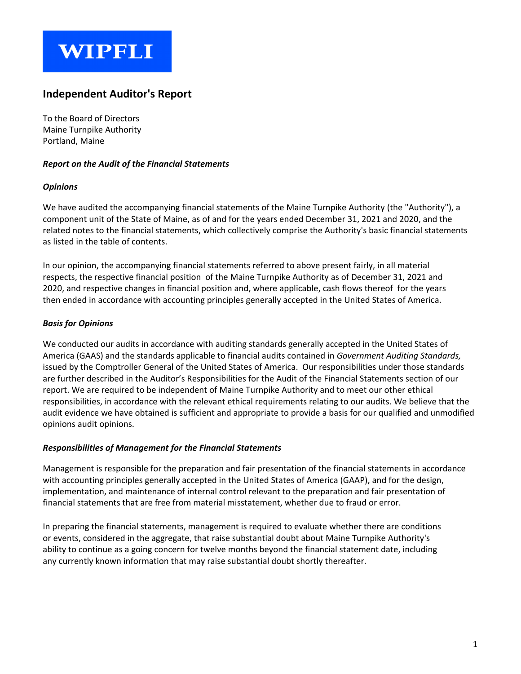# **WIPFLI**

# **Independent Auditor's Report**

To the Board of Directors Maine Turnpike Authority Portland, Maine

# *Report on the Audit of the Financial Statements*

# *Opinions*

We have audited the accompanying financial statements of the Maine Turnpike Authority (the "Authority"), a component unit of the State of Maine, as of and for the years ended December 31, 2021 and 2020, and the related notes to the financial statements, which collectively comprise the Authority's basic financial statements as listed in the table of contents.

In our opinion, the accompanying financial statements referred to above present fairly, in all material respects, the respective financial position of the Maine Turnpike Authority as of December 31, 2021 and 2020, and respective changes in financial position and, where applicable, cash flows thereof for the years then ended in accordance with accounting principles generally accepted in the United States of America.

# *Basis for Opinions*

We conducted our audits in accordance with auditing standards generally accepted in the United States of America (GAAS) and the standards applicable to financial audits contained in *Government Auditing Standards,* issued by the Comptroller General of the United States of America. Our responsibilities under those standards are further described in the Auditor's Responsibilities for the Audit of the Financial Statements section of our report. We are required to be independent of Maine Turnpike Authority and to meet our other ethical responsibilities, in accordance with the relevant ethical requirements relating to our audits. We believe that the audit evidence we have obtained is sufficient and appropriate to provide a basis for our qualified and unmodified opinions audit opinions.

# *Responsibilities of Management for the Financial Statements*

Management is responsible for the preparation and fair presentation of the financial statements in accordance with accounting principles generally accepted in the United States of America (GAAP), and for the design, implementation, and maintenance of internal control relevant to the preparation and fair presentation of financial statements that are free from material misstatement, whether due to fraud or error.

In preparing the financial statements, management is required to evaluate whether there are conditions or events, considered in the aggregate, that raise substantial doubt about Maine Turnpike Authority's ability to continue as a going concern for twelve months beyond the financial statement date, including any currently known information that may raise substantial doubt shortly thereafter.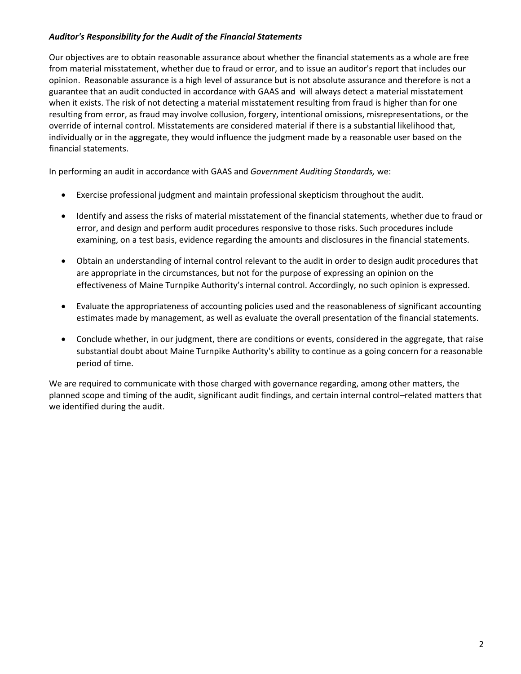# *Auditor's Responsibility for the Audit of the Financial Statements*

Our objectives are to obtain reasonable assurance about whether the financial statements as a whole are free from material misstatement, whether due to fraud or error, and to issue an auditor's report that includes our opinion. Reasonable assurance is a high level of assurance but is not absolute assurance and therefore is not a guarantee that an audit conducted in accordance with GAAS and will always detect a material misstatement when it exists. The risk of not detecting a material misstatement resulting from fraud is higher than for one resulting from error, as fraud may involve collusion, forgery, intentional omissions, misrepresentations, or the override of internal control. Misstatements are considered material if there is a substantial likelihood that, individually or in the aggregate, they would influence the judgment made by a reasonable user based on the financial statements.

In performing an audit in accordance with GAAS and *Government Auditing Standards,* we:

- Exercise professional judgment and maintain professional skepticism throughout the audit.
- Identify and assess the risks of material misstatement of the financial statements, whether due to fraud or error, and design and perform audit procedures responsive to those risks. Such procedures include examining, on a test basis, evidence regarding the amounts and disclosures in the financial statements.
- Obtain an understanding of internal control relevant to the audit in order to design audit procedures that are appropriate in the circumstances, but not for the purpose of expressing an opinion on the effectiveness of Maine Turnpike Authority's internal control. Accordingly, no such opinion is expressed.
- Evaluate the appropriateness of accounting policies used and the reasonableness of significant accounting estimates made by management, as well as evaluate the overall presentation of the financial statements.
- Conclude whether, in our judgment, there are conditions or events, considered in the aggregate, that raise substantial doubt about Maine Turnpike Authority's ability to continue as a going concern for a reasonable period of time.

We are required to communicate with those charged with governance regarding, among other matters, the planned scope and timing of the audit, significant audit findings, and certain internal control–related matters that we identified during the audit.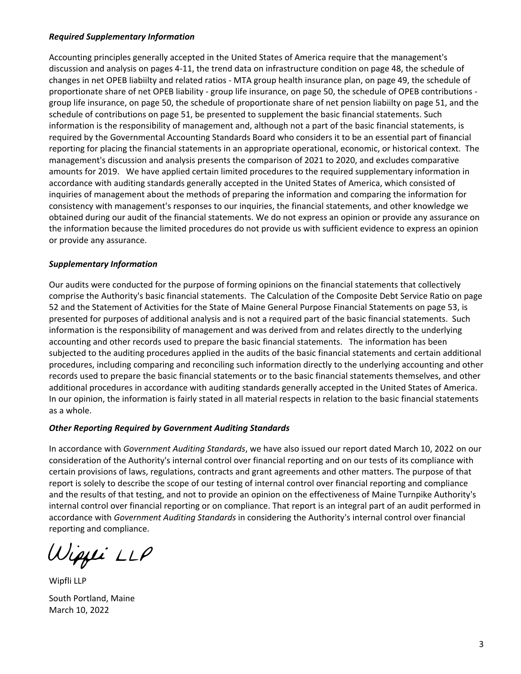# *Required Supplementary Information*

Accounting principles generally accepted in the United States of America require that the management's discussion and analysis on pages 4-11, the trend data on infrastructure condition on page 48, the schedule of changes in net OPEB liabiilty and related ratios - MTA group health insurance plan, on page 49, the schedule of proportionate share of net OPEB liability - group life insurance, on page 50, the schedule of OPEB contributions group life insurance, on page 50, the schedule of proportionate share of net pension liabiilty on page 51, and the schedule of contributions on page 51, be presented to supplement the basic financial statements. Such information is the responsibility of management and, although not a part of the basic financial statements, is required by the Governmental Accounting Standards Board who considers it to be an essential part of financial reporting for placing the financial statements in an appropriate operational, economic, or historical context. The management's discussion and analysis presents the comparison of 2021 to 2020, and excludes comparative amounts for 2019. We have applied certain limited procedures to the required supplementary information in accordance with auditing standards generally accepted in the United States of America, which consisted of inquiries of management about the methods of preparing the information and comparing the information for consistency with management's responses to our inquiries, the financial statements, and other knowledge we obtained during our audit of the financial statements. We do not express an opinion or provide any assurance on the information because the limited procedures do not provide us with sufficient evidence to express an opinion or provide any assurance.

# *Supplementary Information*

Our audits were conducted for the purpose of forming opinions on the financial statements that collectively comprise the Authority's basic financial statements. The Calculation of the Composite Debt Service Ratio on page 52 and the Statement of Activities for the State of Maine General Purpose Financial Statements on page 53, is presented for purposes of additional analysis and is not a required part of the basic financial statements. Such information is the responsibility of management and was derived from and relates directly to the underlying accounting and other records used to prepare the basic financial statements. The information has been subjected to the auditing procedures applied in the audits of the basic financial statements and certain additional procedures, including comparing and reconciling such information directly to the underlying accounting and other records used to prepare the basic financial statements or to the basic financial statements themselves, and other additional procedures in accordance with auditing standards generally accepted in the United States of America. In our opinion, the information is fairly stated in all material respects in relation to the basic financial statements as a whole.

# *Other Reporting Required by Government Auditing Standards*

In accordance with *Government Auditing Standards*, we have also issued our report dated March 10, 2022 on our consideration of the Authority's internal control over financial reporting and on our tests of its compliance with certain provisions of laws, regulations, contracts and grant agreements and other matters. The purpose of that report is solely to describe the scope of our testing of internal control over financial reporting and compliance and the results of that testing, and not to provide an opinion on the effectiveness of Maine Turnpike Authority's internal control over financial reporting or on compliance. That report is an integral part of an audit performed in accordance with *Government Auditing Standards* in considering the Authority's internal control over financial reporting and compliance.

Wiggii LLP

Wipfli LLP South Portland, Maine March 10, 2022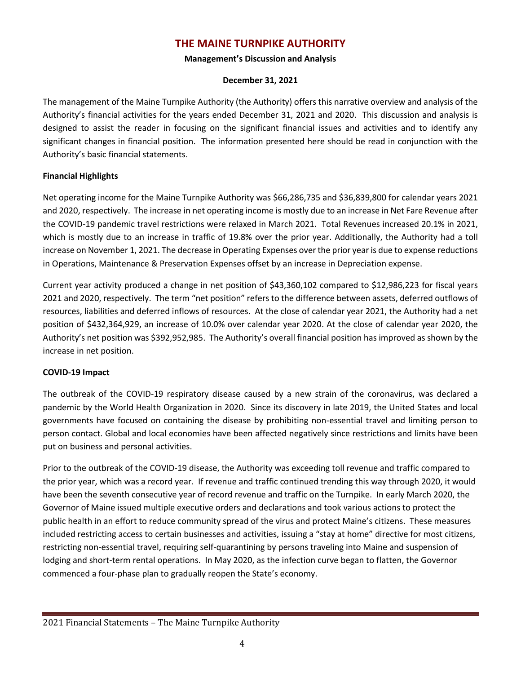# **THE MAINE TURNPIKE AUTHORITY**

# **Management's Discussion and Analysis**

# **December 31, 2021**

The management of the Maine Turnpike Authority (the Authority) offers this narrative overview and analysis of the Authority's financial activities for the years ended December 31, 2021 and 2020. This discussion and analysis is designed to assist the reader in focusing on the significant financial issues and activities and to identify any significant changes in financial position. The information presented here should be read in conjunction with the Authority's basic financial statements.

# **Financial Highlights**

Net operating income for the Maine Turnpike Authority was \$66,286,735 and \$36,839,800 for calendar years 2021 and 2020, respectively. The increase in net operating income is mostly due to an increase in Net Fare Revenue after the COVID-19 pandemic travel restrictions were relaxed in March 2021. Total Revenues increased 20.1% in 2021, which is mostly due to an increase in traffic of 19.8% over the prior year. Additionally, the Authority had a toll increase on November 1, 2021. The decrease in Operating Expenses over the prior yearis due to expense reductions in Operations, Maintenance & Preservation Expenses offset by an increase in Depreciation expense.

Current year activity produced a change in net position of \$43,360,102 compared to \$12,986,223 for fiscal years 2021 and 2020, respectively. The term "net position" refers to the difference between assets, deferred outflows of resources, liabilities and deferred inflows of resources. At the close of calendar year 2021, the Authority had a net position of \$432,364,929, an increase of 10.0% over calendar year 2020. At the close of calendar year 2020, the Authority's net position was \$392,952,985. The Authority's overall financial position has improved as shown by the increase in net position.

# **COVID-19 Impact**

The outbreak of the COVID-19 respiratory disease caused by a new strain of the coronavirus, was declared a pandemic by the World Health Organization in 2020. Since its discovery in late 2019, the United States and local governments have focused on containing the disease by prohibiting non-essential travel and limiting person to person contact. Global and local economies have been affected negatively since restrictions and limits have been put on business and personal activities.

Prior to the outbreak of the COVID-19 disease, the Authority was exceeding toll revenue and traffic compared to the prior year, which was a record year. If revenue and traffic continued trending this way through 2020, it would have been the seventh consecutive year of record revenue and traffic on the Turnpike. In early March 2020, the Governor of Maine issued multiple executive orders and declarations and took various actions to protect the public health in an effort to reduce community spread of the virus and protect Maine's citizens. These measures included restricting access to certain businesses and activities, issuing a "stay at home" directive for most citizens, restricting non-essential travel, requiring self-quarantining by persons traveling into Maine and suspension of lodging and short-term rental operations. In May 2020, as the infection curve began to flatten, the Governor commenced a four-phase plan to gradually reopen the State's economy.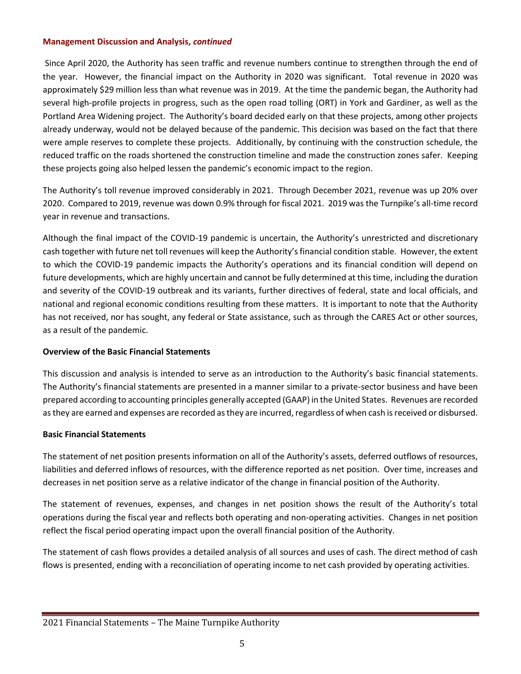Since April 2020, the Authority has seen traffic and revenue numbers continue to strengthen through the end of the year. However, the financial impact on the Authority in 2020 was significant. Total revenue in 2020 was approximately \$29 million less than what revenue was in 2019. At the time the pandemic began, the Authority had several high-profile projects in progress, such as the open road tolling (ORT) in York and Gardiner, as well as the Portland Area Widening project. The Authority's board decided early on that these projects, among other projects already underway, would not be delayed because of the pandemic. This decision was based on the fact that there were ample reserves to complete these projects. Additionally, by continuing with the construction schedule, the reduced traffic on the roads shortened the construction timeline and made the construction zones safer. Keeping these projects going also helped lessen the pandemic's economic impact to the region.

The Authority's toll revenue improved considerably in 2021. Through December 2021, revenue was up 20% over 2020. Compared to 2019, revenue was down 0.9% through for fiscal 2021. 2019 was the Turnpike's all-time record year in revenue and transactions.

Although the final impact of the COVID-19 pandemic is uncertain, the Authority's unrestricted and discretionary cash together with future net toll revenues will keep the Authority's financial condition stable. However, the extent to which the COVID-19 pandemic impacts the Authority's operations and its financial condition will depend on future developments, which are highly uncertain and cannot be fully determined at this time, including the duration and severity of the COVID-19 outbreak and its variants, further directives of federal, state and local officials, and national and regional economic conditions resulting from these matters. It is important to note that the Authority has not received, nor has sought, any federal or State assistance, such as through the CARES Act or other sources, as a result of the pandemic.

# **Overview of the Basic Financial Statements**

This discussion and analysis is intended to serve as an introduction to the Authority's basic financial statements. The Authority's financial statements are presented in a manner similar to a private-sector business and have been prepared according to accounting principles generally accepted (GAAP) in the United States. Revenues are recorded as they are earned and expenses are recorded as they are incurred, regardless of when cash is received or disbursed.

# **Basic Financial Statements**

The statement of net position presents information on all of the Authority's assets, deferred outflows of resources, liabilities and deferred inflows of resources, with the difference reported as net position. Over time, increases and decreases in net position serve as a relative indicator of the change in financial position of the Authority.

The statement of revenues, expenses, and changes in net position shows the result of the Authority's total operations during the fiscal year and reflects both operating and non-operating activities. Changes in net position reflect the fiscal period operating impact upon the overall financial position of the Authority.

The statement of cash flows provides a detailed analysis of all sources and uses of cash. The direct method of cash flows is presented, ending with a reconciliation of operating income to net cash provided by operating activities.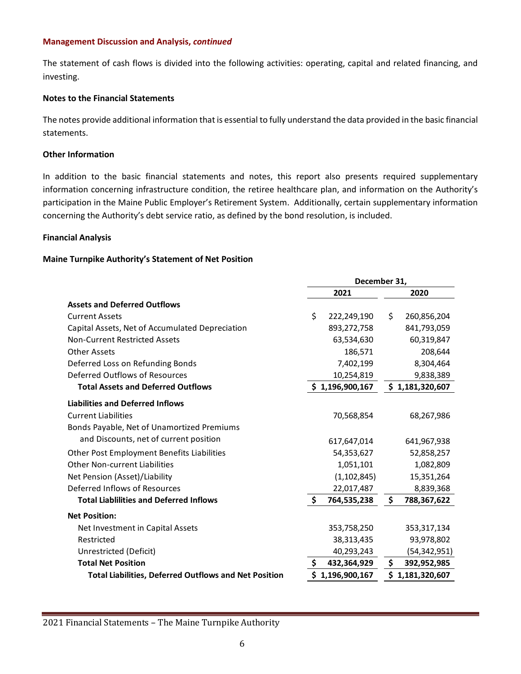The statement of cash flows is divided into the following activities: operating, capital and related financing, and investing.

# **Notes to the Financial Statements**

The notes provide additional information that is essential to fully understand the data provided in the basic financial statements.

# **Other Information**

In addition to the basic financial statements and notes, this report also presents required supplementary information concerning infrastructure condition, the retiree healthcare plan, and information on the Authority's participation in the Maine Public Employer's Retirement System. Additionally, certain supplementary information concerning the Authority's debt service ratio, as defined by the bond resolution, is included.

#### **Financial Analysis**

# **Maine Turnpike Authority's Statement of Net Position**

|                                                              | December 31, |                 |    |                 |
|--------------------------------------------------------------|--------------|-----------------|----|-----------------|
|                                                              | 2021         |                 |    | 2020            |
| <b>Assets and Deferred Outflows</b>                          |              |                 |    |                 |
| <b>Current Assets</b>                                        | \$           | 222,249,190     | \$ | 260,856,204     |
| Capital Assets, Net of Accumulated Depreciation              |              | 893,272,758     |    | 841,793,059     |
| <b>Non-Current Restricted Assets</b>                         |              | 63,534,630      |    | 60,319,847      |
| <b>Other Assets</b>                                          |              | 186,571         |    | 208,644         |
| Deferred Loss on Refunding Bonds                             |              | 7,402,199       |    | 8,304,464       |
| Deferred Outflows of Resources                               |              | 10,254,819      |    | 9,838,389       |
| <b>Total Assets and Deferred Outflows</b>                    |              | \$1,196,900,167 |    | \$1,181,320,607 |
| <b>Liabilities and Deferred Inflows</b>                      |              |                 |    |                 |
| <b>Current Liabilities</b>                                   |              | 70,568,854      |    | 68,267,986      |
| Bonds Payable, Net of Unamortized Premiums                   |              |                 |    |                 |
| and Discounts, net of current position                       |              | 617,647,014     |    | 641,967,938     |
| Other Post Employment Benefits Liabilities                   |              | 54,353,627      |    | 52,858,257      |
| <b>Other Non-current Liabilities</b>                         |              | 1,051,101       |    | 1,082,809       |
| Net Pension (Asset)/Liability                                |              | (1, 102, 845)   |    | 15,351,264      |
| Deferred Inflows of Resources                                |              | 22,017,487      |    | 8,839,368       |
| <b>Total Liablilities and Deferred Inflows</b>               | \$.          | 764,535,238     | \$ | 788,367,622     |
| <b>Net Position:</b>                                         |              |                 |    |                 |
| Net Investment in Capital Assets                             |              | 353,758,250     |    | 353, 317, 134   |
| Restricted                                                   |              | 38,313,435      |    | 93,978,802      |
| Unrestricted (Deficit)                                       |              | 40,293,243      |    | (54, 342, 951)  |
| <b>Total Net Position</b>                                    | \$           | 432,364,929     | \$ | 392,952,985     |
| <b>Total Liabilities, Deferred Outflows and Net Position</b> |              | \$1,196,900,167 |    | \$1,181,320,607 |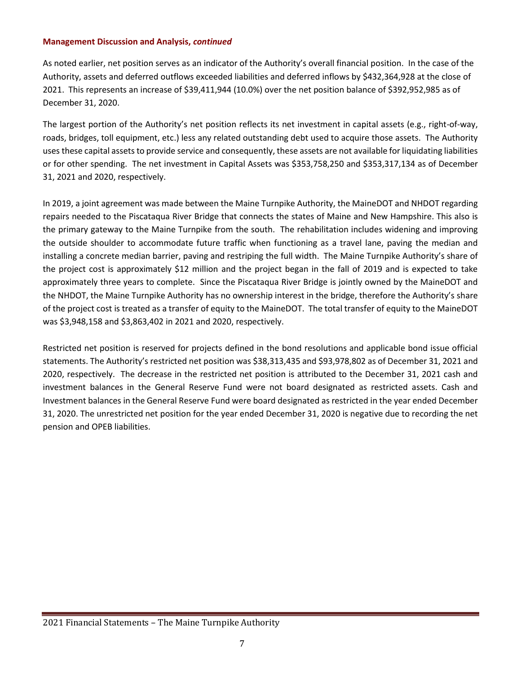As noted earlier, net position serves as an indicator of the Authority's overall financial position. In the case of the Authority, assets and deferred outflows exceeded liabilities and deferred inflows by \$432,364,928 at the close of 2021. This represents an increase of \$39,411,944 (10.0%) over the net position balance of \$392,952,985 as of December 31, 2020.

The largest portion of the Authority's net position reflects its net investment in capital assets (e.g., right-of-way, roads, bridges, toll equipment, etc.) less any related outstanding debt used to acquire those assets. The Authority uses these capital assets to provide service and consequently, these assets are not available for liquidating liabilities or for other spending. The net investment in Capital Assets was \$353,758,250 and \$353,317,134 as of December 31, 2021 and 2020, respectively.

In 2019, a joint agreement was made between the Maine Turnpike Authority, the MaineDOT and NHDOT regarding repairs needed to the Piscataqua River Bridge that connects the states of Maine and New Hampshire. This also is the primary gateway to the Maine Turnpike from the south. The rehabilitation includes widening and improving the outside shoulder to accommodate future traffic when functioning as a travel lane, paving the median and installing a concrete median barrier, paving and restriping the full width. The Maine Turnpike Authority's share of the project cost is approximately \$12 million and the project began in the fall of 2019 and is expected to take approximately three years to complete. Since the Piscataqua River Bridge is jointly owned by the MaineDOT and the NHDOT, the Maine Turnpike Authority has no ownership interest in the bridge, therefore the Authority's share of the project cost is treated as a transfer of equity to the MaineDOT. The total transfer of equity to the MaineDOT was \$3,948,158 and \$3,863,402 in 2021 and 2020, respectively.

Restricted net position is reserved for projects defined in the bond resolutions and applicable bond issue official statements. The Authority's restricted net position was \$38,313,435 and \$93,978,802 as of December 31, 2021 and 2020, respectively. The decrease in the restricted net position is attributed to the December 31, 2021 cash and investment balances in the General Reserve Fund were not board designated as restricted assets. Cash and Investment balances in the General Reserve Fund were board designated as restricted in the year ended December 31, 2020. The unrestricted net position for the year ended December 31, 2020 is negative due to recording the net pension and OPEB liabilities.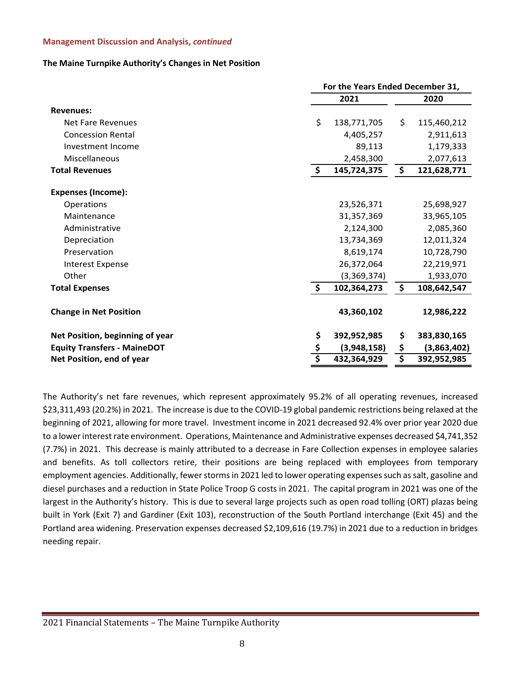# **The Maine Turnpike Authority's Changes in Net Position**

|                                    |               | For the Years Ended December 31, |                                     |             |  |
|------------------------------------|---------------|----------------------------------|-------------------------------------|-------------|--|
|                                    |               | 2021                             | 2020                                |             |  |
| <b>Revenues:</b>                   |               |                                  |                                     |             |  |
| Net Fare Revenues                  | \$            | 138,771,705                      | \$                                  | 115,460,212 |  |
| <b>Concession Rental</b>           |               | 4,405,257                        |                                     | 2,911,613   |  |
| Investment Income                  |               | 89,113                           |                                     | 1,179,333   |  |
| Miscellaneous                      |               | 2,458,300                        |                                     | 2,077,613   |  |
| <b>Total Revenues</b>              | \$            | 145,724,375                      | \$                                  | 121,628,771 |  |
| <b>Expenses (Income):</b>          |               |                                  |                                     |             |  |
| Operations                         |               | 23,526,371                       |                                     | 25,698,927  |  |
| Maintenance                        |               | 31,357,369                       |                                     | 33,965,105  |  |
| Administrative                     |               | 2,124,300                        |                                     | 2,085,360   |  |
| Depreciation                       |               | 13,734,369                       |                                     | 12,011,324  |  |
| Preservation                       |               | 8,619,174                        |                                     | 10,728,790  |  |
| <b>Interest Expense</b>            |               | 26,372,064                       |                                     | 22,219,971  |  |
| Other                              |               | (3,369,374)                      |                                     | 1,933,070   |  |
| <b>Total Expenses</b>              | $\frac{1}{2}$ | 102,364,273                      | \$                                  | 108,642,547 |  |
| <b>Change in Net Position</b>      |               | 43,360,102                       |                                     | 12,986,222  |  |
| Net Position, beginning of year    | \$            | 392,952,985                      | \$                                  | 383,830,165 |  |
| <b>Equity Transfers - MaineDOT</b> |               | (3,948,158)                      | \$                                  | (3,863,402) |  |
| Net Position, end of year          | \$            | 432,364,929                      | $\overline{\boldsymbol{\varsigma}}$ | 392,952,985 |  |

The Authority's net fare revenues, which represent approximately 95.2% of all operating revenues, increased \$23,311,493 (20.2%) in 2021. The increase is due to the COVID-19 global pandemic restrictions being relaxed at the beginning of 2021, allowing for more travel. Investment income in 2021 decreased 92.4% over prior year 2020 due to a lowerinterest rate environment. Operations, Maintenance and Administrative expenses decreased \$4,741,352 (7.7%) in 2021. This decrease is mainly attributed to a decrease in Fare Collection expenses in employee salaries and benefits. As toll collectors retire, their positions are being replaced with employees from temporary employment agencies. Additionally, fewer storms in 2021 led to lower operating expenses such as salt, gasoline and diesel purchases and a reduction in State Police Troop G costs in 2021. The capital program in 2021 was one of the largest in the Authority's history. This is due to several large projects such as open road tolling (ORT) plazas being built in York (Exit 7) and Gardiner (Exit 103), reconstruction of the South Portland interchange (Exit 45) and the Portland area widening. Preservation expenses decreased \$2,109,616 (19.7%) in 2021 due to a reduction in bridges needing repair.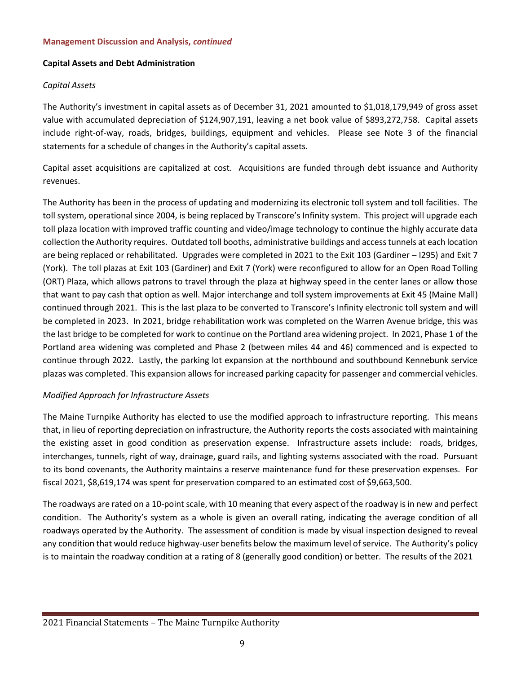# **Capital Assets and Debt Administration**

# *Capital Assets*

The Authority's investment in capital assets as of December 31, 2021 amounted to \$1,018,179,949 of gross asset value with accumulated depreciation of \$124,907,191, leaving a net book value of \$893,272,758. Capital assets include right-of-way, roads, bridges, buildings, equipment and vehicles. Please see Note 3 of the financial statements for a schedule of changes in the Authority's capital assets.

Capital asset acquisitions are capitalized at cost. Acquisitions are funded through debt issuance and Authority revenues.

The Authority has been in the process of updating and modernizing its electronic toll system and toll facilities. The toll system, operational since 2004, is being replaced by Transcore's Infinity system. This project will upgrade each toll plaza location with improved traffic counting and video/image technology to continue the highly accurate data collection the Authority requires. Outdated toll booths, administrative buildings and access tunnels at each location are being replaced or rehabilitated. Upgrades were completed in 2021 to the Exit 103 (Gardiner – I295) and Exit 7 (York). The toll plazas at Exit 103 (Gardiner) and Exit 7 (York) were reconfigured to allow for an Open Road Tolling (ORT) Plaza, which allows patrons to travel through the plaza at highway speed in the center lanes or allow those that want to pay cash that option as well. Major interchange and toll system improvements at Exit 45 (Maine Mall) continued through 2021. This is the last plaza to be converted to Transcore's Infinity electronic toll system and will be completed in 2023. In 2021, bridge rehabilitation work was completed on the Warren Avenue bridge, this was the last bridge to be completed for work to continue on the Portland area widening project. In 2021, Phase 1 of the Portland area widening was completed and Phase 2 (between miles 44 and 46) commenced and is expected to continue through 2022. Lastly, the parking lot expansion at the northbound and southbound Kennebunk service plazas was completed. This expansion allows for increased parking capacity for passenger and commercial vehicles.

# *Modified Approach for Infrastructure Assets*

The Maine Turnpike Authority has elected to use the modified approach to infrastructure reporting. This means that, in lieu of reporting depreciation on infrastructure, the Authority reports the costs associated with maintaining the existing asset in good condition as preservation expense. Infrastructure assets include: roads, bridges, interchanges, tunnels, right of way, drainage, guard rails, and lighting systems associated with the road. Pursuant to its bond covenants, the Authority maintains a reserve maintenance fund for these preservation expenses. For fiscal 2021, \$8,619,174 was spent for preservation compared to an estimated cost of \$9,663,500.

The roadways are rated on a 10-point scale, with 10 meaning that every aspect of the roadway is in new and perfect condition. The Authority's system as a whole is given an overall rating, indicating the average condition of all roadways operated by the Authority. The assessment of condition is made by visual inspection designed to reveal any condition that would reduce highway-user benefits below the maximum level of service. The Authority's policy is to maintain the roadway condition at a rating of 8 (generally good condition) or better. The results of the 2021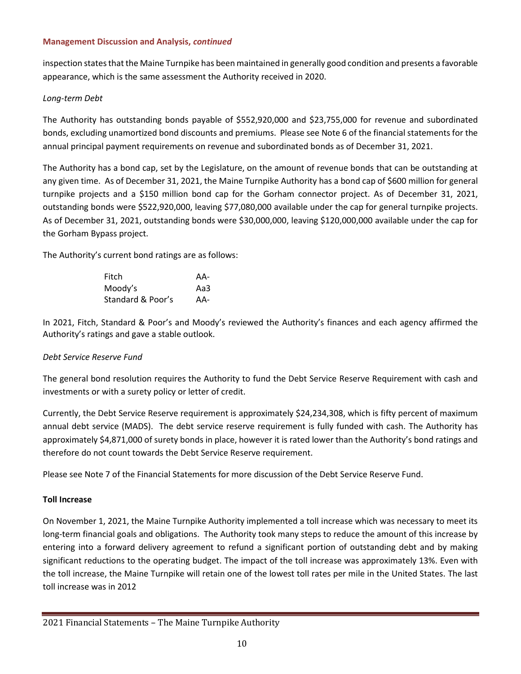inspection states that the Maine Turnpike has been maintained in generally good condition and presents a favorable appearance, which is the same assessment the Authority received in 2020.

# *Long-term Debt*

The Authority has outstanding bonds payable of \$552,920,000 and \$23,755,000 for revenue and subordinated bonds, excluding unamortized bond discounts and premiums. Please see Note 6 of the financial statements for the annual principal payment requirements on revenue and subordinated bonds as of December 31, 2021.

The Authority has a bond cap, set by the Legislature, on the amount of revenue bonds that can be outstanding at any given time. As of December 31, 2021, the Maine Turnpike Authority has a bond cap of \$600 million for general turnpike projects and a \$150 million bond cap for the Gorham connector project. As of December 31, 2021, outstanding bonds were \$522,920,000, leaving \$77,080,000 available under the cap for general turnpike projects. As of December 31, 2021, outstanding bonds were \$30,000,000, leaving \$120,000,000 available under the cap for the Gorham Bypass project.

The Authority's current bond ratings are as follows:

| Fitch             | AA- |
|-------------------|-----|
| Moody's           | Aa3 |
| Standard & Poor's | AA- |

In 2021, Fitch, Standard & Poor's and Moody's reviewed the Authority's finances and each agency affirmed the Authority's ratings and gave a stable outlook.

# *Debt Service Reserve Fund*

The general bond resolution requires the Authority to fund the Debt Service Reserve Requirement with cash and investments or with a surety policy or letter of credit.

Currently, the Debt Service Reserve requirement is approximately \$24,234,308, which is fifty percent of maximum annual debt service (MADS). The debt service reserve requirement is fully funded with cash. The Authority has approximately \$4,871,000 of surety bonds in place, however it is rated lower than the Authority's bond ratings and therefore do not count towards the Debt Service Reserve requirement.

Please see Note 7 of the Financial Statements for more discussion of the Debt Service Reserve Fund.

# **Toll Increase**

On November 1, 2021, the Maine Turnpike Authority implemented a toll increase which was necessary to meet its long-term financial goals and obligations. The Authority took many steps to reduce the amount of this increase by entering into a forward delivery agreement to refund a significant portion of outstanding debt and by making significant reductions to the operating budget. The impact of the toll increase was approximately 13%. Even with the toll increase, the Maine Turnpike will retain one of the lowest toll rates per mile in the United States. The last toll increase was in 2012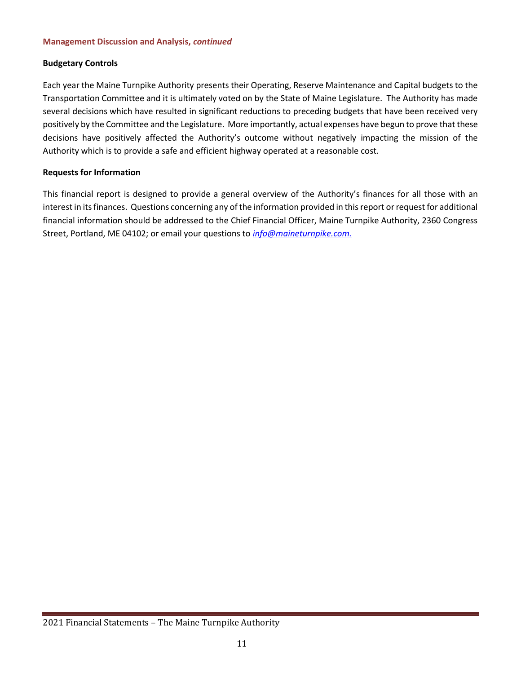# **Budgetary Controls**

Each year the Maine Turnpike Authority presents their Operating, Reserve Maintenance and Capital budgets to the Transportation Committee and it is ultimately voted on by the State of Maine Legislature. The Authority has made several decisions which have resulted in significant reductions to preceding budgets that have been received very positively by the Committee and the Legislature. More importantly, actual expenses have begun to prove that these decisions have positively affected the Authority's outcome without negatively impacting the mission of the Authority which is to provide a safe and efficient highway operated at a reasonable cost.

# **Requests for Information**

This financial report is designed to provide a general overview of the Authority's finances for all those with an interest in its finances. Questions concerning any of the information provided in this report or request for additional financial information should be addressed to the Chief Financial Officer, Maine Turnpike Authority, 2360 Congress Street, Portland, ME 04102; or email your questions to *[info@maineturnpike.com.](mailto:info@maineturnpike.com)*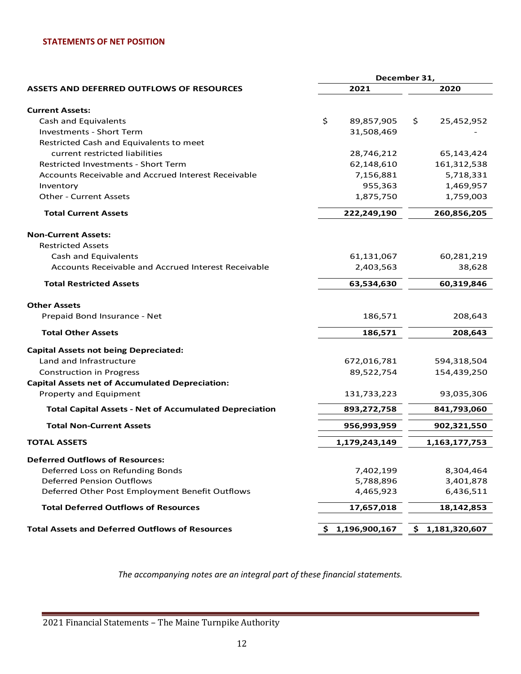# **STATEMENTS OF NET POSITION**

|                                                               | December 31,       |                     |  |  |
|---------------------------------------------------------------|--------------------|---------------------|--|--|
| <b>ASSETS AND DEFERRED OUTFLOWS OF RESOURCES</b>              | 2021               | 2020                |  |  |
| <b>Current Assets:</b>                                        |                    |                     |  |  |
| <b>Cash and Equivalents</b>                                   | \$<br>89,857,905   | \$<br>25,452,952    |  |  |
| <b>Investments - Short Term</b>                               | 31,508,469         |                     |  |  |
| Restricted Cash and Equivalents to meet                       |                    |                     |  |  |
| current restricted liabilities                                | 28,746,212         | 65,143,424          |  |  |
| <b>Restricted Investments - Short Term</b>                    | 62,148,610         | 161,312,538         |  |  |
| Accounts Receivable and Accrued Interest Receivable           | 7,156,881          | 5,718,331           |  |  |
| Inventory                                                     | 955,363            | 1,469,957           |  |  |
| <b>Other - Current Assets</b>                                 | 1,875,750          | 1,759,003           |  |  |
| <b>Total Current Assets</b>                                   | 222,249,190        | 260,856,205         |  |  |
| <b>Non-Current Assets:</b>                                    |                    |                     |  |  |
| <b>Restricted Assets</b>                                      |                    |                     |  |  |
| Cash and Equivalents                                          | 61,131,067         | 60,281,219          |  |  |
| Accounts Receivable and Accrued Interest Receivable           | 2,403,563          | 38,628              |  |  |
| <b>Total Restricted Assets</b>                                | 63,534,630         | 60,319,846          |  |  |
| <b>Other Assets</b>                                           |                    |                     |  |  |
| Prepaid Bond Insurance - Net                                  | 186,571            | 208,643             |  |  |
| <b>Total Other Assets</b>                                     | 186,571            | 208,643             |  |  |
| <b>Capital Assets not being Depreciated:</b>                  |                    |                     |  |  |
| Land and Infrastructure                                       | 672,016,781        | 594,318,504         |  |  |
| <b>Construction in Progress</b>                               | 89,522,754         | 154,439,250         |  |  |
| <b>Capital Assets net of Accumulated Depreciation:</b>        |                    |                     |  |  |
| Property and Equipment                                        | 131,733,223        | 93,035,306          |  |  |
| <b>Total Capital Assets - Net of Accumulated Depreciation</b> | 893,272,758        | 841,793,060         |  |  |
| <b>Total Non-Current Assets</b>                               | 956,993,959        | 902,321,550         |  |  |
| <b>TOTAL ASSETS</b>                                           | 1,179,243,149      | 1,163,177,753       |  |  |
| <b>Deferred Outflows of Resources:</b>                        |                    |                     |  |  |
| Deferred Loss on Refunding Bonds                              | 7,402,199          | 8,304,464           |  |  |
| <b>Deferred Pension Outflows</b>                              | 5,788,896          | 3,401,878           |  |  |
| Deferred Other Post Employment Benefit Outflows               | 4,465,923          | 6,436,511           |  |  |
| <b>Total Deferred Outflows of Resources</b>                   | 17,657,018         | 18,142,853          |  |  |
| <b>Total Assets and Deferred Outflows of Resources</b>        | 1,196,900,167<br>S | \$<br>1,181,320,607 |  |  |

*The accompanying notes are an integral part of these financial statements.*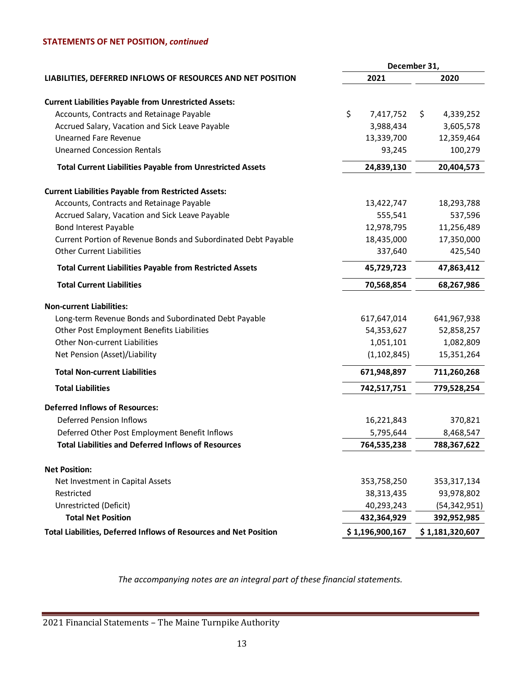# **STATEMENTS OF NET POSITION,** *continued*

|                                                                   |                 | December 31,    |
|-------------------------------------------------------------------|-----------------|-----------------|
| LIABILITIES, DEFERRED INFLOWS OF RESOURCES AND NET POSITION       | 2021            | 2020            |
| <b>Current Liabilities Payable from Unrestricted Assets:</b>      |                 |                 |
| Accounts, Contracts and Retainage Payable                         | \$<br>7,417,752 | \$<br>4,339,252 |
| Accrued Salary, Vacation and Sick Leave Payable                   | 3,988,434       | 3,605,578       |
| <b>Unearned Fare Revenue</b>                                      | 13,339,700      | 12,359,464      |
| <b>Unearned Concession Rentals</b>                                | 93,245          | 100,279         |
| <b>Total Current Liabilities Payable from Unrestricted Assets</b> | 24,839,130      | 20,404,573      |
| <b>Current Liabilities Payable from Restricted Assets:</b>        |                 |                 |
| Accounts, Contracts and Retainage Payable                         | 13,422,747      | 18,293,788      |
| Accrued Salary, Vacation and Sick Leave Payable                   | 555,541         | 537,596         |
| <b>Bond Interest Payable</b>                                      | 12,978,795      | 11,256,489      |
| Current Portion of Revenue Bonds and Subordinated Debt Payable    | 18,435,000      | 17,350,000      |
| <b>Other Current Liabilities</b>                                  | 337,640         | 425,540         |
| <b>Total Current Liabilities Payable from Restricted Assets</b>   | 45,729,723      | 47,863,412      |
| <b>Total Current Liabilities</b>                                  | 70,568,854      | 68,267,986      |
| <b>Non-current Liabilities:</b>                                   |                 |                 |
| Long-term Revenue Bonds and Subordinated Debt Payable             | 617,647,014     | 641,967,938     |
| Other Post Employment Benefits Liabilities                        | 54,353,627      | 52,858,257      |
| Other Non-current Liabilities                                     | 1,051,101       | 1,082,809       |
| Net Pension (Asset)/Liability                                     | (1, 102, 845)   | 15,351,264      |
| <b>Total Non-current Liabilities</b>                              | 671,948,897     | 711,260,268     |
| <b>Total Liabilities</b>                                          | 742,517,751     | 779,528,254     |
| <b>Deferred Inflows of Resources:</b>                             |                 |                 |
| <b>Deferred Pension Inflows</b>                                   | 16,221,843      | 370,821         |
| Deferred Other Post Employment Benefit Inflows                    | 5,795,644       | 8,468,547       |
| <b>Total Liabilities and Deferred Inflows of Resources</b>        | 764,535,238     | 788,367,622     |
| <b>Net Position:</b>                                              |                 |                 |
| Net Investment in Capital Assets                                  | 353,758,250     | 353, 317, 134   |
| Restricted                                                        | 38,313,435      | 93,978,802      |
| Unrestricted (Deficit)                                            | 40,293,243      | (54, 342, 951)  |
| <b>Total Net Position</b>                                         | 432,364,929     | 392,952,985     |
| Total Liabilities, Deferred Inflows of Resources and Net Position | \$1,196,900,167 | \$1,181,320,607 |
|                                                                   |                 |                 |

*The accompanying notes are an integral part of these financial statements.*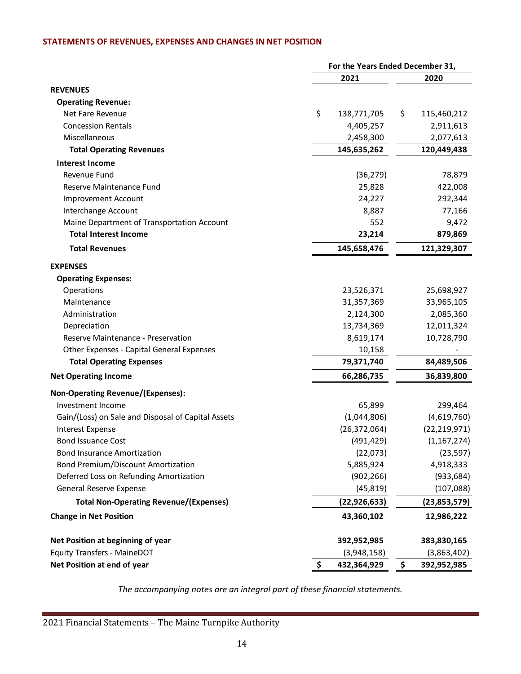# **STATEMENTS OF REVENUES, EXPENSES AND CHANGES IN NET POSITION**

|                                                    | For the Years Ended December 31, |                   |                |  |
|----------------------------------------------------|----------------------------------|-------------------|----------------|--|
|                                                    | 2021                             |                   | 2020           |  |
| <b>REVENUES</b>                                    |                                  |                   |                |  |
| <b>Operating Revenue:</b>                          |                                  |                   |                |  |
| Net Fare Revenue                                   | \$                               | \$<br>138,771,705 | 115,460,212    |  |
| <b>Concession Rentals</b>                          |                                  | 4,405,257         | 2,911,613      |  |
| Miscellaneous                                      |                                  | 2,458,300         | 2,077,613      |  |
| <b>Total Operating Revenues</b>                    |                                  | 145,635,262       | 120,449,438    |  |
| <b>Interest Income</b>                             |                                  |                   |                |  |
| Revenue Fund                                       |                                  | (36, 279)         | 78,879         |  |
| Reserve Maintenance Fund                           |                                  | 25,828            | 422,008        |  |
| Improvement Account                                |                                  | 24,227            | 292,344        |  |
| Interchange Account                                |                                  | 8,887             | 77,166         |  |
| Maine Department of Transportation Account         |                                  | 552               | 9,472          |  |
| <b>Total Interest Income</b>                       |                                  | 23,214            | 879,869        |  |
| <b>Total Revenues</b>                              |                                  | 145,658,476       | 121,329,307    |  |
| <b>EXPENSES</b>                                    |                                  |                   |                |  |
| <b>Operating Expenses:</b>                         |                                  |                   |                |  |
| Operations                                         |                                  | 23,526,371        | 25,698,927     |  |
| Maintenance                                        |                                  | 31,357,369        | 33,965,105     |  |
| Administration                                     |                                  | 2,124,300         | 2,085,360      |  |
| Depreciation                                       |                                  | 13,734,369        | 12,011,324     |  |
| Reserve Maintenance - Preservation                 |                                  | 8,619,174         | 10,728,790     |  |
| Other Expenses - Capital General Expenses          |                                  | 10,158            |                |  |
| <b>Total Operating Expenses</b>                    |                                  | 79,371,740        | 84,489,506     |  |
| <b>Net Operating Income</b>                        |                                  | 66,286,735        | 36,839,800     |  |
| <b>Non-Operating Revenue/(Expenses):</b>           |                                  |                   |                |  |
| Investment Income                                  |                                  | 65,899            | 299,464        |  |
| Gain/(Loss) on Sale and Disposal of Capital Assets |                                  | (1,044,806)       | (4,619,760)    |  |
| <b>Interest Expense</b>                            |                                  | (26, 372, 064)    | (22, 219, 971) |  |
| <b>Bond Issuance Cost</b>                          |                                  | (491, 429)        | (1, 167, 274)  |  |
| <b>Bond Insurance Amortization</b>                 |                                  | (22,073)          | (23, 597)      |  |
| <b>Bond Premium/Discount Amortization</b>          |                                  | 5,885,924         | 4,918,333      |  |
| Deferred Loss on Refunding Amortization            |                                  | (902, 266)        | (933, 684)     |  |
| General Reserve Expense                            |                                  | (45, 819)         | (107,088)      |  |
| <b>Total Non-Operating Revenue/(Expenses)</b>      |                                  | (22, 926, 633)    | (23,853,579)   |  |
| <b>Change in Net Position</b>                      |                                  | 43,360,102        | 12,986,222     |  |
| Net Position at beginning of year                  |                                  | 392,952,985       | 383,830,165    |  |
| <b>Equity Transfers - MaineDOT</b>                 |                                  | (3,948,158)       | (3,863,402)    |  |
| Net Position at end of year                        | \$                               | 432,364,929<br>\$ | 392,952,985    |  |

*The accompanying notes are an integral part of these financial statements.*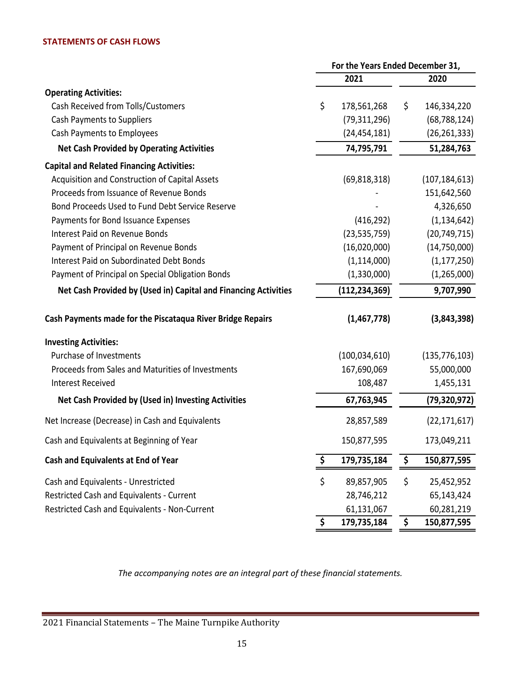# **STATEMENTS OF CASH FLOWS**

|                                                                 | For the Years Ended December 31, |                 |    |                 |
|-----------------------------------------------------------------|----------------------------------|-----------------|----|-----------------|
|                                                                 |                                  | 2021            |    | 2020            |
| <b>Operating Activities:</b>                                    |                                  |                 |    |                 |
| Cash Received from Tolls/Customers                              | \$                               | 178,561,268     | \$ | 146,334,220     |
| Cash Payments to Suppliers                                      |                                  | (79, 311, 296)  |    | (68, 788, 124)  |
| Cash Payments to Employees                                      |                                  | (24, 454, 181)  |    | (26, 261, 333)  |
| <b>Net Cash Provided by Operating Activities</b>                |                                  | 74,795,791      |    | 51,284,763      |
| <b>Capital and Related Financing Activities:</b>                |                                  |                 |    |                 |
| Acquisition and Construction of Capital Assets                  |                                  | (69, 818, 318)  |    | (107, 184, 613) |
| Proceeds from Issuance of Revenue Bonds                         |                                  |                 |    | 151,642,560     |
| Bond Proceeds Used to Fund Debt Service Reserve                 |                                  |                 |    | 4,326,650       |
| Payments for Bond Issuance Expenses                             |                                  | (416, 292)      |    | (1, 134, 642)   |
| <b>Interest Paid on Revenue Bonds</b>                           |                                  | (23, 535, 759)  |    | (20, 749, 715)  |
| Payment of Principal on Revenue Bonds                           |                                  | (16,020,000)    |    | (14, 750, 000)  |
| <b>Interest Paid on Subordinated Debt Bonds</b>                 |                                  | (1, 114, 000)   |    | (1, 177, 250)   |
| Payment of Principal on Special Obligation Bonds                |                                  | (1,330,000)     |    | (1, 265, 000)   |
| Net Cash Provided by (Used in) Capital and Financing Activities |                                  | (112, 234, 369) |    | 9,707,990       |
| Cash Payments made for the Piscataqua River Bridge Repairs      |                                  | (1,467,778)     |    | (3,843,398)     |
| <b>Investing Activities:</b>                                    |                                  |                 |    |                 |
| Purchase of Investments                                         |                                  | (100, 034, 610) |    | (135, 776, 103) |
| Proceeds from Sales and Maturities of Investments               |                                  | 167,690,069     |    | 55,000,000      |
| <b>Interest Received</b>                                        |                                  | 108,487         |    | 1,455,131       |
| Net Cash Provided by (Used in) Investing Activities             |                                  | 67,763,945      |    | (79, 320, 972)  |
| Net Increase (Decrease) in Cash and Equivalents                 |                                  | 28,857,589      |    | (22, 171, 617)  |
| Cash and Equivalents at Beginning of Year                       |                                  | 150,877,595     |    | 173,049,211     |
| Cash and Equivalents at End of Year                             | \$                               | 179,735,184     | \$ | 150,877,595     |
| Cash and Equivalents - Unrestricted                             | \$                               | 89,857,905      | \$ | 25,452,952      |
| Restricted Cash and Equivalents - Current                       |                                  | 28,746,212      |    | 65,143,424      |
| Restricted Cash and Equivalents - Non-Current                   |                                  | 61,131,067      |    | 60,281,219      |
|                                                                 | \$                               | 179,735,184     | \$ | 150,877,595     |

*The accompanying notes are an integral part of these financial statements.*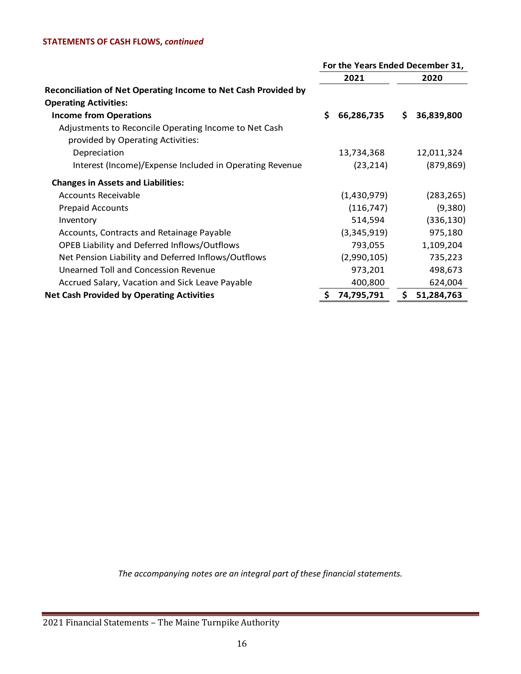# **STATEMENTS OF CASH FLOWS,** *continued*

|                                                                                            | For the Years Ended December 31, |             |     |            |  |
|--------------------------------------------------------------------------------------------|----------------------------------|-------------|-----|------------|--|
|                                                                                            |                                  | 2021        |     | 2020       |  |
| Reconciliation of Net Operating Income to Net Cash Provided by                             |                                  |             |     |            |  |
| <b>Operating Activities:</b>                                                               |                                  |             |     |            |  |
| <b>Income from Operations</b>                                                              | \$                               | 66,286,735  | \$. | 36,839,800 |  |
| Adjustments to Reconcile Operating Income to Net Cash<br>provided by Operating Activities: |                                  |             |     |            |  |
| Depreciation                                                                               |                                  | 13,734,368  |     | 12,011,324 |  |
| Interest (Income)/Expense Included in Operating Revenue                                    |                                  | (23, 214)   |     | (879, 869) |  |
| <b>Changes in Assets and Liabilities:</b>                                                  |                                  |             |     |            |  |
| Accounts Receivable                                                                        |                                  | (1,430,979) |     | (283, 265) |  |
| <b>Prepaid Accounts</b>                                                                    |                                  | (116, 747)  |     | (9,380)    |  |
| Inventory                                                                                  |                                  | 514,594     |     | (336, 130) |  |
| Accounts, Contracts and Retainage Payable                                                  |                                  | (3,345,919) |     | 975,180    |  |
| OPEB Liability and Deferred Inflows/Outflows                                               |                                  | 793,055     |     | 1,109,204  |  |
| Net Pension Liability and Deferred Inflows/Outflows                                        |                                  | (2,990,105) |     | 735,223    |  |
| Unearned Toll and Concession Revenue                                                       |                                  | 973,201     |     | 498,673    |  |
| Accrued Salary, Vacation and Sick Leave Payable                                            |                                  | 400,800     |     | 624,004    |  |
| <b>Net Cash Provided by Operating Activities</b>                                           | \$                               | 74,795,791  | \$  | 51,284,763 |  |

*The accompanying notes are an integral part of these financial statements.*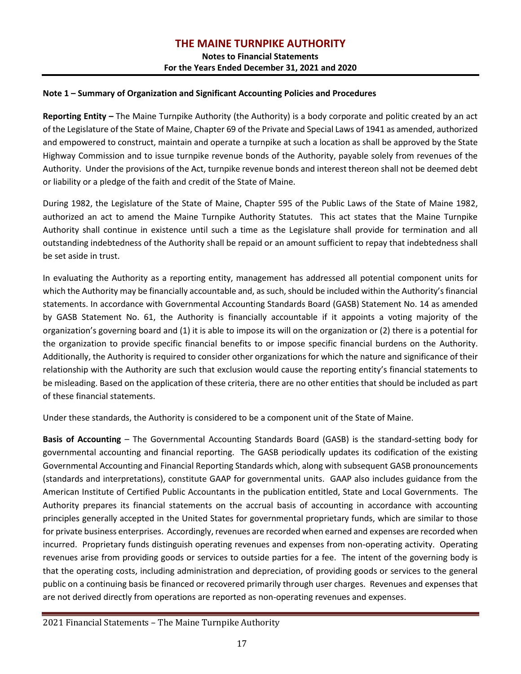**Notes to Financial Statements For the Years Ended December 31, 2021 and 2020**

# **Note 1 – Summary of Organization and Significant Accounting Policies and Procedures**

**Reporting Entity –** The Maine Turnpike Authority (the Authority) is a body corporate and politic created by an act of the Legislature of the State of Maine, Chapter 69 of the Private and Special Laws of 1941 as amended, authorized and empowered to construct, maintain and operate a turnpike at such a location as shall be approved by the State Highway Commission and to issue turnpike revenue bonds of the Authority, payable solely from revenues of the Authority. Under the provisions of the Act, turnpike revenue bonds and interest thereon shall not be deemed debt or liability or a pledge of the faith and credit of the State of Maine.

During 1982, the Legislature of the State of Maine, Chapter 595 of the Public Laws of the State of Maine 1982, authorized an act to amend the Maine Turnpike Authority Statutes. This act states that the Maine Turnpike Authority shall continue in existence until such a time as the Legislature shall provide for termination and all outstanding indebtedness of the Authority shall be repaid or an amount sufficient to repay that indebtedness shall be set aside in trust.

In evaluating the Authority as a reporting entity, management has addressed all potential component units for which the Authority may be financially accountable and, as such, should be included within the Authority's financial statements. In accordance with Governmental Accounting Standards Board (GASB) Statement No. 14 as amended by GASB Statement No. 61, the Authority is financially accountable if it appoints a voting majority of the organization's governing board and (1) it is able to impose its will on the organization or (2) there is a potential for the organization to provide specific financial benefits to or impose specific financial burdens on the Authority. Additionally, the Authority is required to consider other organizations for which the nature and significance of their relationship with the Authority are such that exclusion would cause the reporting entity's financial statements to be misleading. Based on the application of these criteria, there are no other entities that should be included as part of these financial statements.

Under these standards, the Authority is considered to be a component unit of the State of Maine.

**Basis of Accounting** – The Governmental Accounting Standards Board (GASB) is the standard-setting body for governmental accounting and financial reporting. The GASB periodically updates its codification of the existing Governmental Accounting and Financial Reporting Standards which, along with subsequent GASB pronouncements (standards and interpretations), constitute GAAP for governmental units. GAAP also includes guidance from the American Institute of Certified Public Accountants in the publication entitled, State and Local Governments. The Authority prepares its financial statements on the accrual basis of accounting in accordance with accounting principles generally accepted in the United States for governmental proprietary funds, which are similar to those for private business enterprises. Accordingly, revenues are recorded when earned and expenses are recorded when incurred. Proprietary funds distinguish operating revenues and expenses from non-operating activity. Operating revenues arise from providing goods or services to outside parties for a fee. The intent of the governing body is that the operating costs, including administration and depreciation, of providing goods or services to the general public on a continuing basis be financed or recovered primarily through user charges. Revenues and expenses that are not derived directly from operations are reported as non-operating revenues and expenses.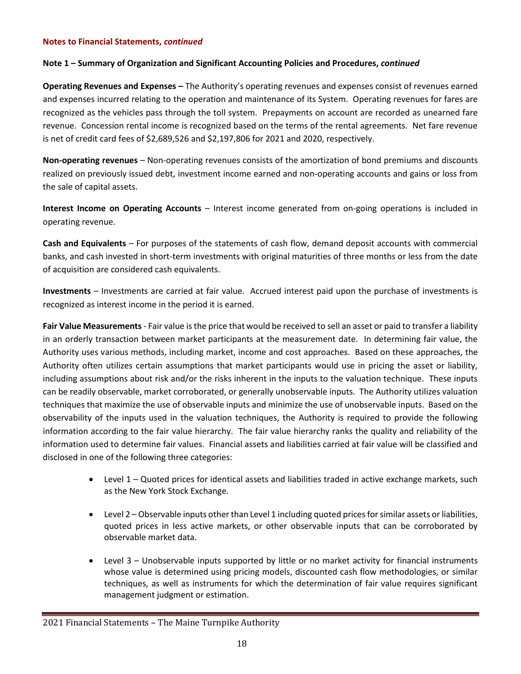# **Note 1 – Summary of Organization and Significant Accounting Policies and Procedures,** *continued*

**Operating Revenues and Expenses –** The Authority's operating revenues and expenses consist of revenues earned and expenses incurred relating to the operation and maintenance of its System. Operating revenues for fares are recognized as the vehicles pass through the toll system. Prepayments on account are recorded as unearned fare revenue. Concession rental income is recognized based on the terms of the rental agreements. Net fare revenue is net of credit card fees of \$2,689,526 and \$2,197,806 for 2021 and 2020, respectively.

**Non-operating revenues** – Non-operating revenues consists of the amortization of bond premiums and discounts realized on previously issued debt, investment income earned and non-operating accounts and gains or loss from the sale of capital assets.

**Interest Income on Operating Accounts** – Interest income generated from on-going operations is included in operating revenue.

**Cash and Equivalents** – For purposes of the statements of cash flow, demand deposit accounts with commercial banks, and cash invested in short-term investments with original maturities of three months or less from the date of acquisition are considered cash equivalents.

**Investments** – Investments are carried at fair value. Accrued interest paid upon the purchase of investments is recognized as interest income in the period it is earned.

**Fair Value Measurements** - Fair value is the price that would be received to sell an asset or paid to transfer a liability in an orderly transaction between market participants at the measurement date. In determining fair value, the Authority uses various methods, including market, income and cost approaches. Based on these approaches, the Authority often utilizes certain assumptions that market participants would use in pricing the asset or liability, including assumptions about risk and/or the risks inherent in the inputs to the valuation technique. These inputs can be readily observable, market corroborated, or generally unobservable inputs. The Authority utilizes valuation techniques that maximize the use of observable inputs and minimize the use of unobservable inputs. Based on the observability of the inputs used in the valuation techniques, the Authority is required to provide the following information according to the fair value hierarchy. The fair value hierarchy ranks the quality and reliability of the information used to determine fair values. Financial assets and liabilities carried at fair value will be classified and disclosed in one of the following three categories:

- Level 1 Quoted prices for identical assets and liabilities traded in active exchange markets, such as the New York Stock Exchange.
- Level 2 Observable inputs other than Level 1 including quoted prices for similar assets or liabilities, quoted prices in less active markets, or other observable inputs that can be corroborated by observable market data.
- Level 3 Unobservable inputs supported by little or no market activity for financial instruments whose value is determined using pricing models, discounted cash flow methodologies, or similar techniques, as well as instruments for which the determination of fair value requires significant management judgment or estimation.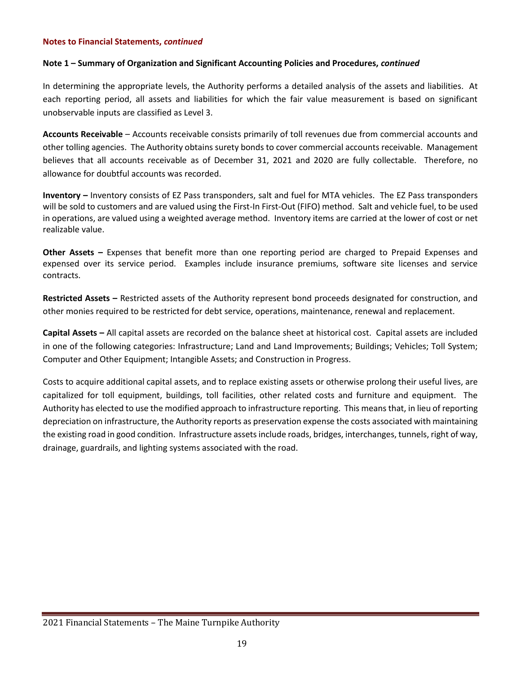# **Note 1 – Summary of Organization and Significant Accounting Policies and Procedures,** *continued*

In determining the appropriate levels, the Authority performs a detailed analysis of the assets and liabilities. At each reporting period, all assets and liabilities for which the fair value measurement is based on significant unobservable inputs are classified as Level 3.

**Accounts Receivable** – Accounts receivable consists primarily of toll revenues due from commercial accounts and other tolling agencies. The Authority obtains surety bonds to cover commercial accounts receivable. Management believes that all accounts receivable as of December 31, 2021 and 2020 are fully collectable. Therefore, no allowance for doubtful accounts was recorded.

**Inventory –** Inventory consists of EZ Pass transponders, salt and fuel for MTA vehicles. The EZ Pass transponders will be sold to customers and are valued using the First-In First-Out (FIFO) method. Salt and vehicle fuel, to be used in operations, are valued using a weighted average method. Inventory items are carried at the lower of cost or net realizable value.

**Other Assets –** Expenses that benefit more than one reporting period are charged to Prepaid Expenses and expensed over its service period. Examples include insurance premiums, software site licenses and service contracts.

**Restricted Assets –** Restricted assets of the Authority represent bond proceeds designated for construction, and other monies required to be restricted for debt service, operations, maintenance, renewal and replacement.

**Capital Assets –** All capital assets are recorded on the balance sheet at historical cost. Capital assets are included in one of the following categories: Infrastructure; Land and Land Improvements; Buildings; Vehicles; Toll System; Computer and Other Equipment; Intangible Assets; and Construction in Progress.

Costs to acquire additional capital assets, and to replace existing assets or otherwise prolong their useful lives, are capitalized for toll equipment, buildings, toll facilities, other related costs and furniture and equipment. The Authority has elected to use the modified approach to infrastructure reporting. This means that, in lieu of reporting depreciation on infrastructure, the Authority reports as preservation expense the costs associated with maintaining the existing road in good condition. Infrastructure assets include roads, bridges, interchanges, tunnels, right of way, drainage, guardrails, and lighting systems associated with the road.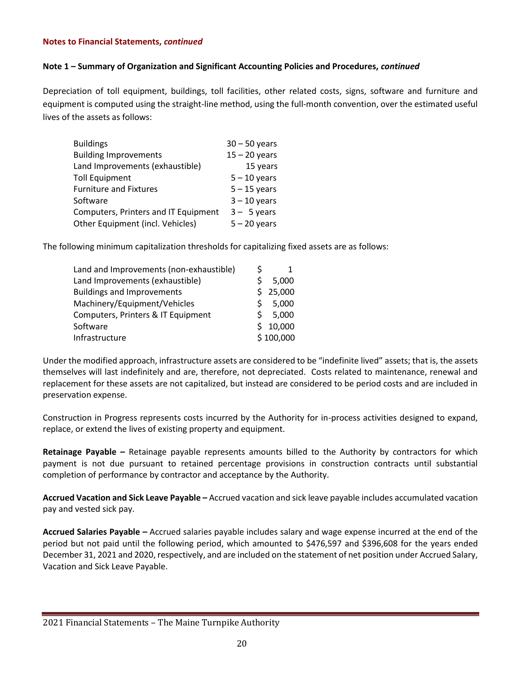# **Note 1 – Summary of Organization and Significant Accounting Policies and Procedures,** *continued*

Depreciation of toll equipment, buildings, toll facilities, other related costs, signs, software and furniture and equipment is computed using the straight-line method, using the full-month convention, over the estimated useful lives of the assets as follows:

| <b>Buildings</b>                     | $30 - 50$ years |
|--------------------------------------|-----------------|
| <b>Building Improvements</b>         | $15 - 20$ years |
| Land Improvements (exhaustible)      | 15 years        |
| <b>Toll Equipment</b>                | $5 - 10$ years  |
| <b>Furniture and Fixtures</b>        | $5 - 15$ years  |
| Software                             | $3 - 10$ years  |
| Computers, Printers and IT Equipment | $3 - 5$ years   |
| Other Equipment (incl. Vehicles)     | $5 - 20$ years  |

The following minimum capitalization thresholds for capitalizing fixed assets are as follows:

| Land and Improvements (non-exhaustible) | S |           |
|-----------------------------------------|---|-----------|
| Land Improvements (exhaustible)         | Ś | 5,000     |
| <b>Buildings and Improvements</b>       | Ś | 25,000    |
| Machinery/Equipment/Vehicles            | ς | 5,000     |
| Computers, Printers & IT Equipment      | ς | 5,000     |
| Software                                | ς | 10,000    |
| Infrastructure                          |   | \$100,000 |

Under the modified approach, infrastructure assets are considered to be "indefinite lived" assets; that is, the assets themselves will last indefinitely and are, therefore, not depreciated. Costs related to maintenance, renewal and replacement for these assets are not capitalized, but instead are considered to be period costs and are included in preservation expense.

Construction in Progress represents costs incurred by the Authority for in-process activities designed to expand, replace, or extend the lives of existing property and equipment.

**Retainage Payable –** Retainage payable represents amounts billed to the Authority by contractors for which payment is not due pursuant to retained percentage provisions in construction contracts until substantial completion of performance by contractor and acceptance by the Authority.

**Accrued Vacation and Sick Leave Payable –** Accrued vacation and sick leave payable includes accumulated vacation pay and vested sick pay.

**Accrued Salaries Payable –** Accrued salaries payable includes salary and wage expense incurred at the end of the period but not paid until the following period, which amounted to \$476,597 and \$396,608 for the years ended December 31, 2021 and 2020, respectively, and are included on the statement of net position under Accrued Salary, Vacation and Sick Leave Payable.

<sup>2021</sup> Financial Statements – The Maine Turnpike Authority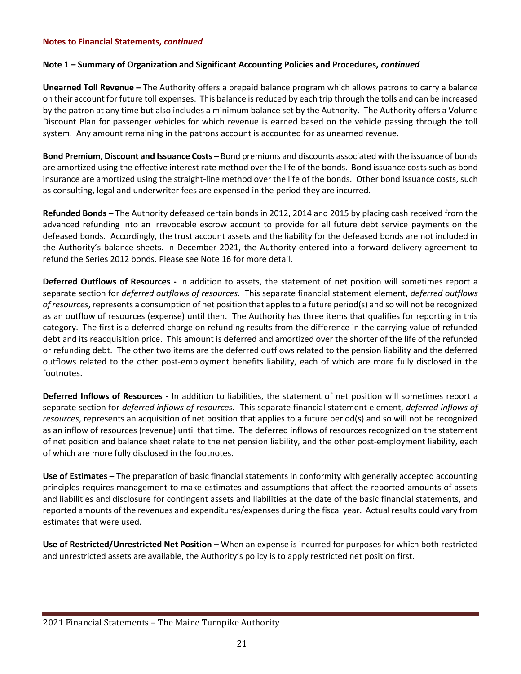# **Note 1 – Summary of Organization and Significant Accounting Policies and Procedures,** *continued*

**Unearned Toll Revenue –** The Authority offers a prepaid balance program which allows patrons to carry a balance on their account for future toll expenses. This balance is reduced by each trip through the tolls and can be increased by the patron at any time but also includes a minimum balance set by the Authority. The Authority offers a Volume Discount Plan for passenger vehicles for which revenue is earned based on the vehicle passing through the toll system. Any amount remaining in the patrons account is accounted for as unearned revenue.

**Bond Premium, Discount and Issuance Costs –** Bond premiums and discounts associated with the issuance of bonds are amortized using the effective interest rate method over the life of the bonds. Bond issuance costs such as bond insurance are amortized using the straight-line method over the life of the bonds. Other bond issuance costs, such as consulting, legal and underwriter fees are expensed in the period they are incurred.

**Refunded Bonds –** The Authority defeased certain bonds in 2012, 2014 and 2015 by placing cash received from the advanced refunding into an irrevocable escrow account to provide for all future debt service payments on the defeased bonds. Accordingly, the trust account assets and the liability for the defeased bonds are not included in the Authority's balance sheets. In December 2021, the Authority entered into a forward delivery agreement to refund the Series 2012 bonds. Please see Note 16 for more detail.

**Deferred Outflows of Resources -** In addition to assets, the statement of net position will sometimes report a separate section for *deferred outflows of resources*. This separate financial statement element, *deferred outflows of resources*, represents a consumption of net position that apples to a future period(s) and so will not be recognized as an outflow of resources (expense) until then. The Authority has three items that qualifies for reporting in this category. The first is a deferred charge on refunding results from the difference in the carrying value of refunded debt and its reacquisition price. This amount is deferred and amortized over the shorter of the life of the refunded or refunding debt. The other two items are the deferred outflows related to the pension liability and the deferred outflows related to the other post-employment benefits liability, each of which are more fully disclosed in the footnotes.

**Deferred Inflows of Resources -** In addition to liabilities, the statement of net position will sometimes report a separate section for *deferred inflows of resources.* This separate financial statement element, *deferred inflows of resources*, represents an acquisition of net position that applies to a future period(s) and so will not be recognized as an inflow of resources (revenue) until that time. The deferred inflows of resources recognized on the statement of net position and balance sheet relate to the net pension liability, and the other post-employment liability, each of which are more fully disclosed in the footnotes.

**Use of Estimates –** The preparation of basic financial statements in conformity with generally accepted accounting principles requires management to make estimates and assumptions that affect the reported amounts of assets and liabilities and disclosure for contingent assets and liabilities at the date of the basic financial statements, and reported amounts of the revenues and expenditures/expenses during the fiscal year. Actual results could vary from estimates that were used.

**Use of Restricted/Unrestricted Net Position –** When an expense is incurred for purposes for which both restricted and unrestricted assets are available, the Authority's policy is to apply restricted net position first.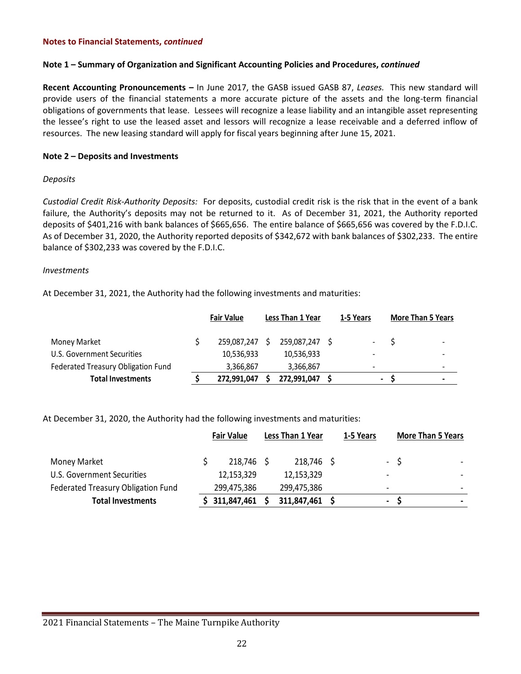# **Note 1 – Summary of Organization and Significant Accounting Policies and Procedures,** *continued*

**Recent Accounting Pronouncements –** In June 2017, the GASB issued GASB 87, *Leases.* This new standard will provide users of the financial statements a more accurate picture of the assets and the long-term financial obligations of governments that lease. Lessees will recognize a lease liability and an intangible asset representing the lessee's right to use the leased asset and lessors will recognize a lease receivable and a deferred inflow of resources. The new leasing standard will apply for fiscal years beginning after June 15, 2021.

#### **Note 2 – Deposits and Investments**

#### *Deposits*

*Custodial Credit Risk-Authority Deposits:* For deposits, custodial credit risk is the risk that in the event of a bank failure, the Authority's deposits may not be returned to it. As of December 31, 2021, the Authority reported deposits of \$401,216 with bank balances of \$665,656. The entire balance of \$665,656 was covered by the F.D.I.C. As of December 31, 2020, the Authority reported deposits of \$342,672 with bank balances of \$302,233. The entire balance of \$302,233 was covered by the F.D.I.C.

#### *Investments*

At December 31, 2021, the Authority had the following investments and maturities:

|                                    | <b>Fair Value</b> |   | Less Than 1 Year | 1-5 Years                | <b>More Than 5 Years</b> |
|------------------------------------|-------------------|---|------------------|--------------------------|--------------------------|
| Money Market                       | 259,087,247       | S | 259,087,247      | $\overline{\phantom{a}}$ | $\overline{\phantom{a}}$ |
| U.S. Government Securities         | 10,536,933        |   | 10,536,933       | $\overline{\phantom{0}}$ | $\blacksquare$           |
| Federated Treasury Obligation Fund | 3.366.867         |   | 3,366,867        | $\overline{\phantom{0}}$ | $\overline{\phantom{0}}$ |
| <b>Total Investments</b>           | 272,991,047       |   | 272,991,047      | -                        | $\overline{\phantom{0}}$ |

At December 31, 2020, the Authority had the following investments and maturities:

|                                    | <b>Fair Value</b> | Less Than 1 Year | 1-5 Years |                              | <b>More Than 5 Years</b> |
|------------------------------------|-------------------|------------------|-----------|------------------------------|--------------------------|
| <b>Money Market</b>                | 218,746 \$        | 218,746 \$       |           |                              | $-5$                     |
| U.S. Government Securities         | 12,153,329        | 12,153,329       |           | $\overline{\phantom{0}}$     |                          |
| Federated Treasury Obligation Fund | 299,475,386       | 299,475,386      |           | $\qquad \qquad \blacksquare$ |                          |
| <b>Total Investments</b>           | \$311,847,461     | 311,847,461 \$   |           | $\blacksquare$               |                          |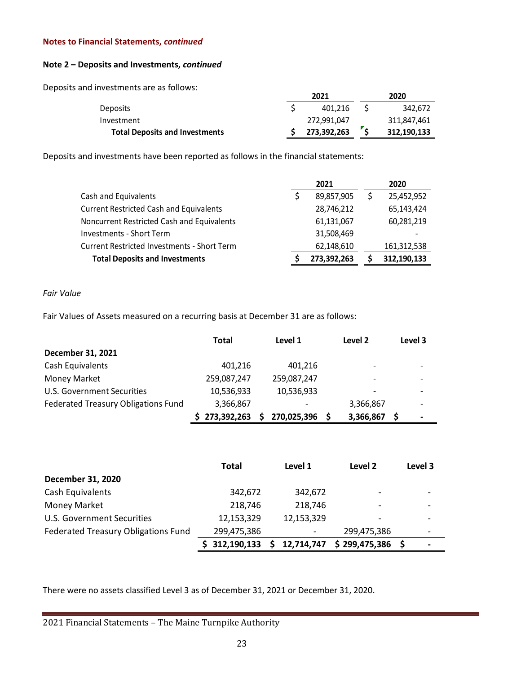# **Note 2 – Deposits and Investments,** *continued*

Deposits and investments are as follows:

|                                       | 2021        | 2020        |
|---------------------------------------|-------------|-------------|
| <b>Deposits</b>                       | 401.216     | 342.672     |
| Investment                            | 272,991,047 | 311,847,461 |
| <b>Total Deposits and Investments</b> | 273,392,263 | 312,190,133 |

Deposits and investments have been reported as follows in the financial statements:

|                                                    | 2021        | 2020        |
|----------------------------------------------------|-------------|-------------|
| Cash and Equivalents                               | 89,857,905  | 25,452,952  |
| <b>Current Restricted Cash and Equivalents</b>     | 28,746,212  | 65,143,424  |
| Noncurrent Restricted Cash and Equivalents         | 61,131,067  | 60,281,219  |
| <b>Investments - Short Term</b>                    | 31,508,469  |             |
| <b>Current Restricted Investments - Short Term</b> | 62,148,610  | 161,312,538 |
| <b>Total Deposits and Investments</b>              | 273,392,263 | 312,190,133 |

# *Fair Value*

Fair Values of Assets measured on a recurring basis at December 31 are as follows:

|                                     | Total         | Level 1     | Level 2   | Level 3 |
|-------------------------------------|---------------|-------------|-----------|---------|
| December 31, 2021                   |               |             |           |         |
| Cash Equivalents                    | 401,216       | 401.216     | -         |         |
| <b>Money Market</b>                 | 259,087,247   | 259,087,247 |           |         |
| U.S. Government Securities          | 10,536,933    | 10,536,933  |           |         |
| Federated Treasury Obligations Fund | 3,366,867     |             | 3,366,867 |         |
|                                     | \$273,392,263 | 270,025,396 | 3,366,867 |         |

|                                     | <b>Total</b> | Level 1    | Level 2                  | Level 3                  |
|-------------------------------------|--------------|------------|--------------------------|--------------------------|
| December 31, 2020                   |              |            |                          |                          |
| Cash Equivalents                    | 342,672      | 342,672    | $\overline{\phantom{0}}$ |                          |
| <b>Money Market</b>                 | 218,746      | 218,746    |                          |                          |
| <b>U.S. Government Securities</b>   | 12,153,329   | 12,153,329 |                          |                          |
| Federated Treasury Obligations Fund | 299,475,386  |            | 299,475,386              | $\overline{\phantom{0}}$ |
|                                     | 312,190,133  | 12,714,747 | \$299,475,386            |                          |

There were no assets classified Level 3 as of December 31, 2021 or December 31, 2020.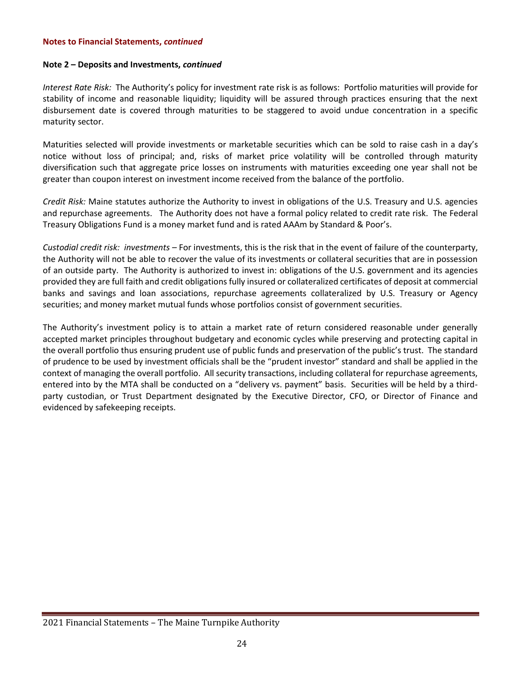# **Note 2 – Deposits and Investments,** *continued*

*Interest Rate Risk:* The Authority's policy for investment rate risk is as follows: Portfolio maturities will provide for stability of income and reasonable liquidity; liquidity will be assured through practices ensuring that the next disbursement date is covered through maturities to be staggered to avoid undue concentration in a specific maturity sector.

Maturities selected will provide investments or marketable securities which can be sold to raise cash in a day's notice without loss of principal; and, risks of market price volatility will be controlled through maturity diversification such that aggregate price losses on instruments with maturities exceeding one year shall not be greater than coupon interest on investment income received from the balance of the portfolio.

*Credit Risk:* Maine statutes authorize the Authority to invest in obligations of the U.S. Treasury and U.S. agencies and repurchase agreements. The Authority does not have a formal policy related to credit rate risk. The Federal Treasury Obligations Fund is a money market fund and is rated AAAm by Standard & Poor's.

*Custodial credit risk: investments –* For investments, this is the risk that in the event of failure of the counterparty, the Authority will not be able to recover the value of its investments or collateral securities that are in possession of an outside party. The Authority is authorized to invest in: obligations of the U.S. government and its agencies provided they are full faith and credit obligations fully insured or collateralized certificates of deposit at commercial banks and savings and loan associations, repurchase agreements collateralized by U.S. Treasury or Agency securities; and money market mutual funds whose portfolios consist of government securities.

The Authority's investment policy is to attain a market rate of return considered reasonable under generally accepted market principles throughout budgetary and economic cycles while preserving and protecting capital in the overall portfolio thus ensuring prudent use of public funds and preservation of the public's trust. The standard of prudence to be used by investment officials shall be the "prudent investor" standard and shall be applied in the context of managing the overall portfolio. All security transactions, including collateral for repurchase agreements, entered into by the MTA shall be conducted on a "delivery vs. payment" basis. Securities will be held by a thirdparty custodian, or Trust Department designated by the Executive Director, CFO, or Director of Finance and evidenced by safekeeping receipts.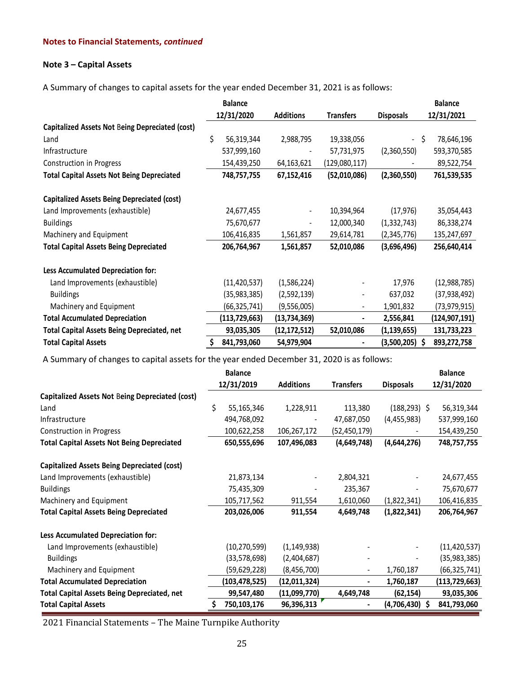# **Note 3 – Capital Assets**

A Summary of changes to capital assets for the year ended December 31, 2021 is as follows:

|                                                        |    | <b>Balance</b>  |                  |                          |                  | <b>Balance</b>    |
|--------------------------------------------------------|----|-----------------|------------------|--------------------------|------------------|-------------------|
|                                                        |    | 12/31/2020      | <b>Additions</b> | <b>Transfers</b>         | <b>Disposals</b> | 12/31/2021        |
| <b>Capitalized Assets Not Being Depreciated (cost)</b> |    |                 |                  |                          |                  |                   |
| Land                                                   | \$ | 56,319,344      | 2,988,795        | 19,338,056               |                  | 78,646,196<br>\$. |
| Infrastructure                                         |    | 537,999,160     |                  | 57,731,975               | (2,360,550)      | 593,370,585       |
| Construction in Progress                               |    | 154,439,250     | 64,163,621       | (129,080,117)            |                  | 89,522,754        |
| <b>Total Capital Assets Not Being Depreciated</b>      |    | 748,757,755     | 67,152,416       | (52,010,086)             | (2,360,550)      | 761,539,535       |
| <b>Capitalized Assets Being Depreciated (cost)</b>     |    |                 |                  |                          |                  |                   |
| Land Improvements (exhaustible)                        |    | 24,677,455      | -                | 10,394,964               | (17, 976)        | 35,054,443        |
| <b>Buildings</b>                                       |    | 75,670,677      | -                | 12,000,340               | (1, 332, 743)    | 86,338,274        |
| Machinery and Equipment                                |    | 106,416,835     | 1,561,857        | 29,614,781               | (2,345,776)      | 135,247,697       |
| <b>Total Capital Assets Being Depreciated</b>          |    | 206,764,967     | 1,561,857        | 52,010,086               | (3,696,496)      | 256,640,414       |
| Less Accumulated Depreciation for:                     |    |                 |                  |                          |                  |                   |
| Land Improvements (exhaustible)                        |    | (11, 420, 537)  | (1,586,224)      |                          | 17,976           | (12, 988, 785)    |
| <b>Buildings</b>                                       |    | (35, 983, 385)  | (2,592,139)      | $\overline{\phantom{a}}$ | 637,032          | (37, 938, 492)    |
| Machinery and Equipment                                |    | (66, 325, 741)  | (9,556,005)      | $\overline{\phantom{a}}$ | 1,901,832        | (73, 979, 915)    |
| <b>Total Accumulated Depreciation</b>                  |    | (113, 729, 663) | (13, 734, 369)   | $\blacksquare$           | 2,556,841        | (124,907,191)     |
| <b>Total Capital Assets Being Depreciated, net</b>     |    | 93,035,305      | (12, 172, 512)   | 52,010,086               | (1, 139, 655)    | 131,733,223       |
| <b>Total Capital Assets</b>                            | Ş  | 841,793,060     | 54,979,904       |                          | $(3,500,205)$ \$ | 893,272,758       |

A Summary of changes to capital assets for the year ended December 31, 2020 is as follows:

|                                                        |    | <b>Balance</b>  |                  |                  |                  | <b>Balance</b>  |
|--------------------------------------------------------|----|-----------------|------------------|------------------|------------------|-----------------|
|                                                        |    | 12/31/2019      | <b>Additions</b> | <b>Transfers</b> | <b>Disposals</b> | 12/31/2020      |
| <b>Capitalized Assets Not Being Depreciated (cost)</b> |    |                 |                  |                  |                  |                 |
| Land                                                   | \$ | 55,165,346      | 1,228,911        | 113,380          | $(188, 293)$ \$  | 56,319,344      |
| Infrastructure                                         |    | 494,768,092     |                  | 47,687,050       | (4,455,983)      | 537,999,160     |
| Construction in Progress                               |    | 100,622,258     | 106,267,172      | (52, 450, 179)   |                  | 154,439,250     |
| <b>Total Capital Assets Not Being Depreciated</b>      |    | 650,555,696     | 107,496,083      | (4,649,748)      | (4,644,276)      | 748,757,755     |
| <b>Capitalized Assets Being Depreciated (cost)</b>     |    |                 |                  |                  |                  |                 |
| Land Improvements (exhaustible)                        |    | 21,873,134      |                  | 2,804,321        |                  | 24,677,455      |
| <b>Buildings</b>                                       |    | 75,435,309      |                  | 235,367          |                  | 75,670,677      |
| Machinery and Equipment                                |    | 105,717,562     | 911,554          | 1,610,060        | (1,822,341)      | 106,416,835     |
| <b>Total Capital Assets Being Depreciated</b>          |    | 203,026,006     | 911,554          | 4,649,748        | (1,822,341)      | 206,764,967     |
| Less Accumulated Depreciation for:                     |    |                 |                  |                  |                  |                 |
| Land Improvements (exhaustible)                        |    | (10, 270, 599)  | (1, 149, 938)    |                  |                  | (11, 420, 537)  |
| <b>Buildings</b>                                       |    | (33,578,698)    | (2,404,687)      |                  |                  | (35, 983, 385)  |
| Machinery and Equipment                                |    | (59,629,228)    | (8,456,700)      |                  | 1,760,187        | (66, 325, 741)  |
| <b>Total Accumulated Depreciation</b>                  |    | (103, 478, 525) | (12,011,324)     |                  | 1,760,187        | (113, 729, 663) |
| <b>Total Capital Assets Being Depreciated, net</b>     |    | 99,547,480      | (11,099,770)     | 4,649,748        | (62,154)         | 93,035,306      |
| <b>Total Capital Assets</b>                            | Ş  | 750,103,176     | 96,396,313       |                  | $(4,706,430)$ \$ | 841,793,060     |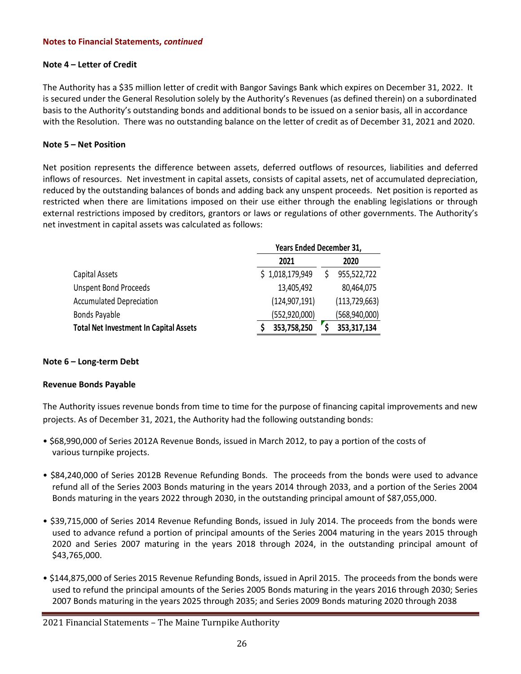# **Note 4 – Letter of Credit**

The Authority has a \$35 million letter of credit with Bangor Savings Bank which expires on December 31, 2022. It is secured under the General Resolution solely by the Authority's Revenues (as defined therein) on a subordinated basis to the Authority's outstanding bonds and additional bonds to be issued on a senior basis, all in accordance with the Resolution. There was no outstanding balance on the letter of credit as of December 31, 2021 and 2020.

# **Note 5 – Net Position**

Net position represents the difference between assets, deferred outflows of resources, liabilities and deferred inflows of resources. Net investment in capital assets, consists of capital assets, net of accumulated depreciation, reduced by the outstanding balances of bonds and adding back any unspent proceeds. Net position is reported as restricted when there are limitations imposed on their use either through the enabling legislations or through external restrictions imposed by creditors, grantors or laws or regulations of other governments. The Authority's net investment in capital assets was calculated as follows:

|                                               |                 | Years Ended December 31, |  |  |  |
|-----------------------------------------------|-----------------|--------------------------|--|--|--|
|                                               | 2021            | 2020                     |  |  |  |
| Capital Assets                                | \$1,018,179,949 | 955,522,722              |  |  |  |
| <b>Unspent Bond Proceeds</b>                  | 13,405,492      | 80,464,075               |  |  |  |
| <b>Accumulated Depreciation</b>               | (124, 907, 191) | (113, 729, 663)          |  |  |  |
| Bonds Payable                                 | (552, 920, 000) | (568, 940, 000)          |  |  |  |
| <b>Total Net Investment In Capital Assets</b> | 353,758,250     | 353,317,134              |  |  |  |

# **Note 6 – Long-term Debt**

# **Revenue Bonds Payable**

The Authority issues revenue bonds from time to time for the purpose of financing capital improvements and new projects. As of December 31, 2021, the Authority had the following outstanding bonds:

- \$68,990,000 of Series 2012A Revenue Bonds, issued in March 2012, to pay a portion of the costs of various turnpike projects.
- \$84,240,000 of Series 2012B Revenue Refunding Bonds. The proceeds from the bonds were used to advance refund all of the Series 2003 Bonds maturing in the years 2014 through 2033, and a portion of the Series 2004 Bonds maturing in the years 2022 through 2030, in the outstanding principal amount of \$87,055,000.
- \$39,715,000 of Series 2014 Revenue Refunding Bonds, issued in July 2014. The proceeds from the bonds were used to advance refund a portion of principal amounts of the Series 2004 maturing in the years 2015 through 2020 and Series 2007 maturing in the years 2018 through 2024, in the outstanding principal amount of \$43,765,000.
- \$144,875,000 of Series 2015 Revenue Refunding Bonds, issued in April 2015. The proceeds from the bonds were used to refund the principal amounts of the Series 2005 Bonds maturing in the years 2016 through 2030; Series 2007 Bonds maturing in the years 2025 through 2035; and Series 2009 Bonds maturing 2020 through 2038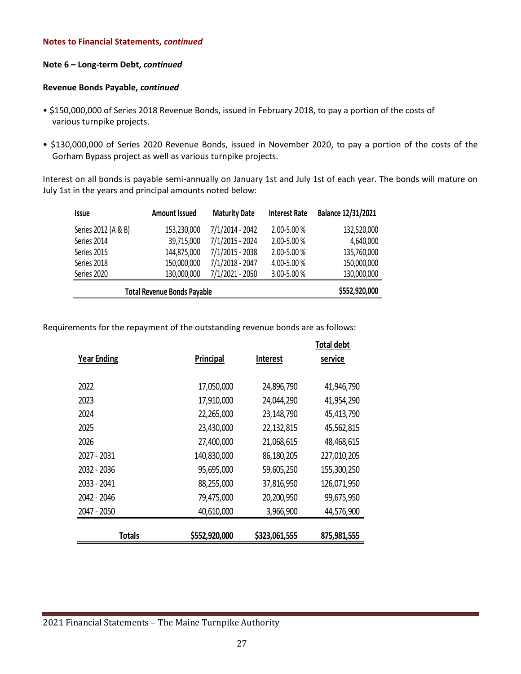# **Note 6 – Long-term Debt,** *continued*

## **Revenue Bonds Payable,** *continued*

- \$150,000,000 of Series 2018 Revenue Bonds, issued in February 2018, to pay a portion of the costs of various turnpike projects.
- \$130,000,000 of Series 2020 Revenue Bonds, issued in November 2020, to pay a portion of the costs of the Gorham Bypass project as well as various turnpike projects.

Interest on all bonds is payable semi-annually on January 1st and July 1st of each year. The bonds will mature on July 1st in the years and principal amounts noted below:

| <b>Issue</b>                       | <b>Amount Issued</b> | <b>Maturity Date</b> | <b>Interest Rate</b> | Balance 12/31/2021 |
|------------------------------------|----------------------|----------------------|----------------------|--------------------|
| Series 2012 (A & B)                | 153,230,000          | 7/1/2014 - 2042      | 2.00-5.00 %          | 132,520,000        |
| Series 2014                        | 39,715,000           | 7/1/2015 - 2024      | 2.00-5.00 %          | 4,640,000          |
| Series 2015                        | 144,875,000          | 7/1/2015 - 2038      | 2.00-5.00 %          | 135,760,000        |
| Series 2018                        | 150,000,000          | 7/1/2018 - 2047      | 4.00-5.00 %          | 150,000,000        |
| Series 2020                        | 130,000,000          | 7/1/2021 - 2050      | 3.00-5.00 %          | 130,000,000        |
| <b>Total Revenue Bonds Payable</b> | \$552,920,000        |                      |                      |                    |

Requirements for the repayment of the outstanding revenue bonds are as follows:

| <b>Year Ending</b> | Principal     | <b>Interest</b> | <b>Total debt</b><br>service |
|--------------------|---------------|-----------------|------------------------------|
|                    |               |                 |                              |
| 2022               | 17,050,000    | 24,896,790      | 41,946,790                   |
| 2023               | 17,910,000    | 24,044,290      | 41,954,290                   |
| 2024               | 22,265,000    | 23,148,790      | 45,413,790                   |
| 2025               | 23,430,000    | 22, 132, 815    | 45,562,815                   |
| 2026               | 27,400,000    | 21,068,615      | 48,468,615                   |
| 2027 - 2031        | 140,830,000   | 86,180,205      | 227,010,205                  |
| 2032 - 2036        | 95,695,000    | 59,605,250      | 155,300,250                  |
| 2033 - 2041        | 88,255,000    | 37,816,950      | 126,071,950                  |
| 2042 - 2046        | 79,475,000    | 20,200,950      | 99,675,950                   |
| 2047 - 2050        | 40,610,000    | 3,966,900       | 44,576,900                   |
|                    |               |                 |                              |
| <b>Totals</b>      | \$552,920,000 | \$323,061,555   | 875,981,555                  |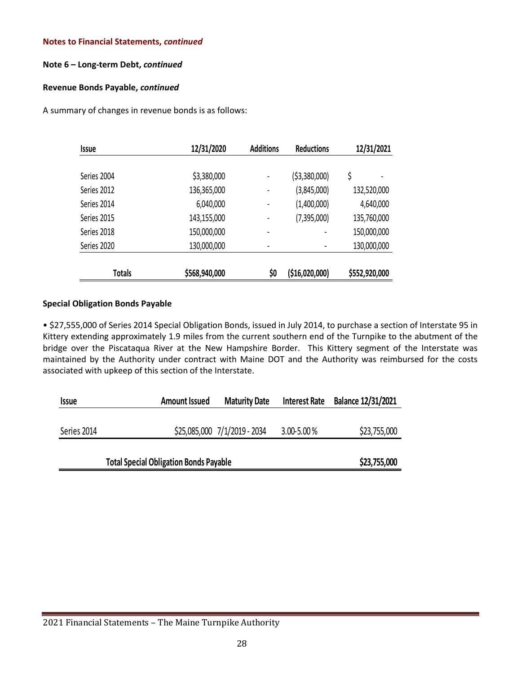# **Note 6 – Long-term Debt,** *continued*

# **Revenue Bonds Payable,** *continued*

A summary of changes in revenue bonds is as follows:

| <i><b>Issue</b></i> | 12/31/2020    |     | <b>Additions</b><br><b>Reductions</b> |               |  | 12/31/2021 |  |
|---------------------|---------------|-----|---------------------------------------|---------------|--|------------|--|
| Series 2004         | \$3,380,000   |     | ( \$3,380,000)                        | \$            |  |            |  |
| Series 2012         | 136,365,000   |     | (3,845,000)                           | 132,520,000   |  |            |  |
| Series 2014         | 6,040,000     |     | (1,400,000)                           | 4,640,000     |  |            |  |
| Series 2015         | 143,155,000   |     | (7,395,000)                           | 135,760,000   |  |            |  |
| Series 2018         | 150,000,000   |     | ٠                                     | 150,000,000   |  |            |  |
| Series 2020         | 130,000,000   |     | $\blacksquare$                        | 130,000,000   |  |            |  |
| <b>Totals</b>       | \$568,940,000 | \$0 | (\$16,020,000)                        | \$552,920,000 |  |            |  |

# **Special Obligation Bonds Payable**

• \$27,555,000 of Series 2014 Special Obligation Bonds, issued in July 2014, to purchase a section of Interstate 95 in Kittery extending approximately 1.9 miles from the current southern end of the Turnpike to the abutment of the bridge over the Piscataqua River at the New Hampshire Border. This Kittery segment of the Interstate was maintained by the Authority under contract with Maine DOT and the Authority was reimbursed for the costs associated with upkeep of this section of the Interstate.

| <b>Issue</b> | <b>Amount Issued</b> | <b>Maturity Date</b>         | <b>Interest Rate</b> | Balance 12/31/2021 |
|--------------|----------------------|------------------------------|----------------------|--------------------|
|              |                      |                              |                      |                    |
| Series 2014  |                      | \$25,085,000 7/1/2019 - 2034 | $3.00 - 5.00 %$      | \$23,755,000       |
|              |                      |                              |                      |                    |
|              | \$23,755,000         |                              |                      |                    |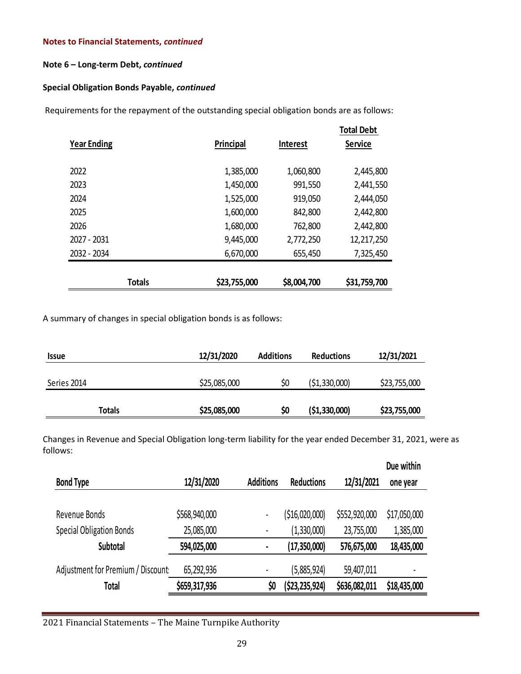# **Note 6 – Long-term Debt,** *continued*

# **Special Obligation Bonds Payable,** *continued*

Requirements for the repayment of the outstanding special obligation bonds are as follows:

| <b>Year Ending</b> | Principal    | <b>Interest</b> |              |
|--------------------|--------------|-----------------|--------------|
| 2022               | 1,385,000    | 1,060,800       | 2,445,800    |
| 2023               | 1,450,000    | 991,550         | 2,441,550    |
| 2024               | 1,525,000    | 919,050         | 2,444,050    |
| 2025               | 1,600,000    | 842,800         | 2,442,800    |
| 2026               | 1,680,000    | 762,800         | 2,442,800    |
| 2027 - 2031        | 9,445,000    | 2,772,250       | 12,217,250   |
| 2032 - 2034        | 6,670,000    | 655,450         | 7,325,450    |
|                    |              |                 |              |
| <b>Totals</b>      | \$23,755,000 | \$8,004,700     | \$31,759,700 |

A summary of changes in special obligation bonds is as follows:

| <i><b>Issue</b></i> | 12/31/2020   | <b>Additions</b> | <b>Reductions</b> | 12/31/2021   |
|---------------------|--------------|------------------|-------------------|--------------|
|                     |              |                  |                   |              |
| Series 2014         | \$25,085,000 | \$0              | (51, 330, 000)    | \$23,755,000 |
|                     |              |                  |                   |              |
| Totals              | \$25,085,000 | Ş0               | ( \$1,330,000)    | \$23,755,000 |

Changes in Revenue and Special Obligation long-term liability for the year ended December 31, 2021, were as follows:

|                                   |               |                  |                   |               | Due within   |
|-----------------------------------|---------------|------------------|-------------------|---------------|--------------|
| <b>Bond Type</b>                  | 12/31/2020    | <b>Additions</b> | <b>Reductions</b> | 12/31/2021    | one year     |
|                                   |               |                  |                   |               |              |
| Revenue Bonds                     | \$568,940,000 | $\blacksquare$   | ( \$16,020,000]   | \$552,920,000 | \$17,050,000 |
| <b>Special Obligation Bonds</b>   | 25,085,000    | $\blacksquare$   | (1,330,000)       | 23,755,000    | 1,385,000    |
| Subtotal                          | 594,025,000   | ٠                | (17, 350, 000)    | 576,675,000   | 18,435,000   |
| Adjustment for Premium / Discount | 65,292,936    |                  | (5,885,924)       | 59,407,011    |              |
| Total                             | \$659,317,936 | \$0              | (\$23,235,924)    | \$636,082,011 | \$18,435,000 |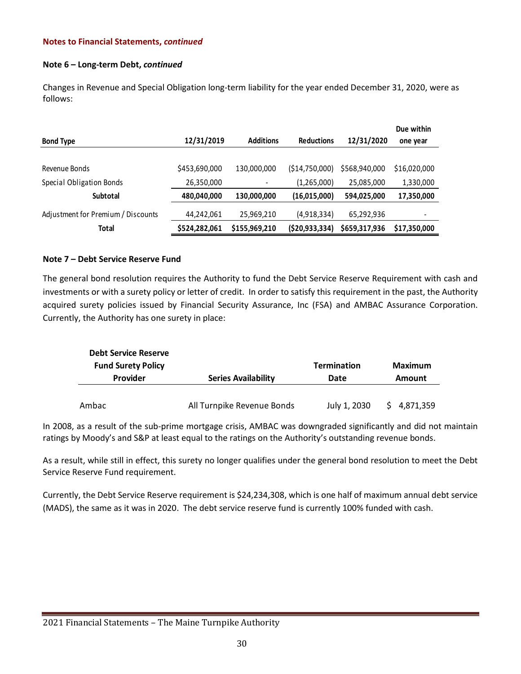# **Note 6 – Long-term Debt,** *continued*

Changes in Revenue and Special Obligation long-term liability for the year ended December 31, 2020, were as follows:

|                                    |               |                  |                   |               | Due within   |
|------------------------------------|---------------|------------------|-------------------|---------------|--------------|
| <b>Bond Type</b>                   | 12/31/2019    | <b>Additions</b> | <b>Reductions</b> | 12/31/2020    | one year     |
|                                    |               |                  |                   |               |              |
| Revenue Bonds                      | \$453,690,000 | 130,000,000      | ( \$14,750,000)   | \$568,940,000 | \$16,020,000 |
| Special Obligation Bonds           | 26,350,000    | $\overline{a}$   | (1,265,000)       | 25,085,000    | 1,330,000    |
| <b>Subtotal</b>                    | 480,040,000   | 130,000,000      | (16,015,000)      | 594,025,000   | 17,350,000   |
| Adjustment for Premium / Discounts | 44,242,061    | 25,969,210       | (4,918,334)       | 65,292,936    | ٠            |
| <b>Total</b>                       | \$524,282,061 | \$155,969,210    | (520, 933, 334)   | \$659,317,936 | \$17,350,000 |

# **Note 7 – Debt Service Reserve Fund**

The general bond resolution requires the Authority to fund the Debt Service Reserve Requirement with cash and investments or with a surety policy or letter of credit. In order to satisfy this requirement in the past, the Authority acquired surety policies issued by Financial Security Assurance, Inc (FSA) and AMBAC Assurance Corporation. Currently, the Authority has one surety in place:

| <b>Debt Service Reserve</b> |                            |                    |                |
|-----------------------------|----------------------------|--------------------|----------------|
| <b>Fund Surety Policy</b>   |                            | <b>Termination</b> | <b>Maximum</b> |
| Provider                    | <b>Series Availability</b> | Date               | <b>Amount</b>  |
|                             |                            |                    |                |
| Ambac                       | All Turnpike Revenue Bonds | July 1, 2030       | 4,871,359      |

In 2008, as a result of the sub-prime mortgage crisis, AMBAC was downgraded significantly and did not maintain ratings by Moody's and S&P at least equal to the ratings on the Authority's outstanding revenue bonds.

As a result, while still in effect, this surety no longer qualifies under the general bond resolution to meet the Debt Service Reserve Fund requirement.

Currently, the Debt Service Reserve requirement is \$24,234,308, which is one half of maximum annual debt service (MADS), the same as it was in 2020. The debt service reserve fund is currently 100% funded with cash.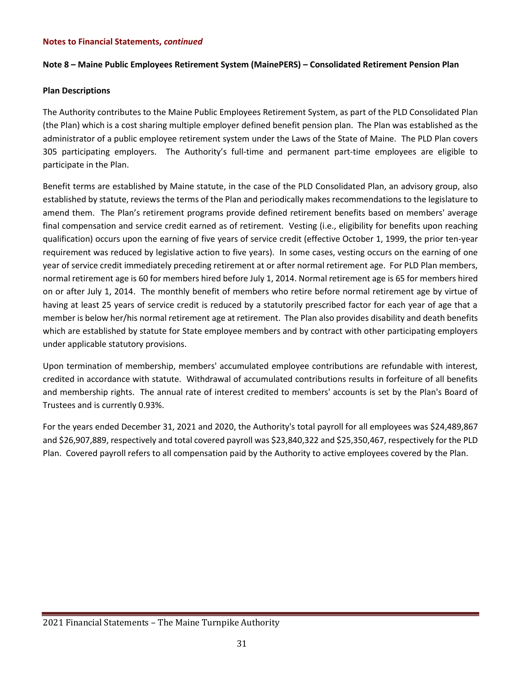# **Note 8 – Maine Public Employees Retirement System (MainePERS) – Consolidated Retirement Pension Plan**

# **Plan Descriptions**

The Authority contributes to the Maine Public Employees Retirement System, as part of the PLD Consolidated Plan (the Plan) which is a cost sharing multiple employer defined benefit pension plan. The Plan was established as the administrator of a public employee retirement system under the Laws of the State of Maine. The PLD Plan covers 305 participating employers. The Authority's full-time and permanent part-time employees are eligible to participate in the Plan.

Benefit terms are established by Maine statute, in the case of the PLD Consolidated Plan, an advisory group, also established by statute, reviews the terms of the Plan and periodically makes recommendations to the legislature to amend them. The Plan's retirement programs provide defined retirement benefits based on members' average final compensation and service credit earned as of retirement. Vesting (i.e., eligibility for benefits upon reaching qualification) occurs upon the earning of five years of service credit (effective October 1, 1999, the prior ten-year requirement was reduced by legislative action to five years). In some cases, vesting occurs on the earning of one year of service credit immediately preceding retirement at or after normal retirement age. For PLD Plan members, normal retirement age is 60 for members hired before July 1, 2014. Normal retirement age is 65 for members hired on or after July 1, 2014. The monthly benefit of members who retire before normal retirement age by virtue of having at least 25 years of service credit is reduced by a statutorily prescribed factor for each year of age that a member is below her/his normal retirement age at retirement. The Plan also provides disability and death benefits which are established by statute for State employee members and by contract with other participating employers under applicable statutory provisions.

Upon termination of membership, members' accumulated employee contributions are refundable with interest, credited in accordance with statute. Withdrawal of accumulated contributions results in forfeiture of all benefits and membership rights. The annual rate of interest credited to members' accounts is set by the Plan's Board of Trustees and is currently 0.93%.

For the years ended December 31, 2021 and 2020, the Authority's total payroll for all employees was \$24,489,867 and \$26,907,889, respectively and total covered payroll was \$23,840,322 and \$25,350,467, respectively for the PLD Plan. Covered payroll refers to all compensation paid by the Authority to active employees covered by the Plan.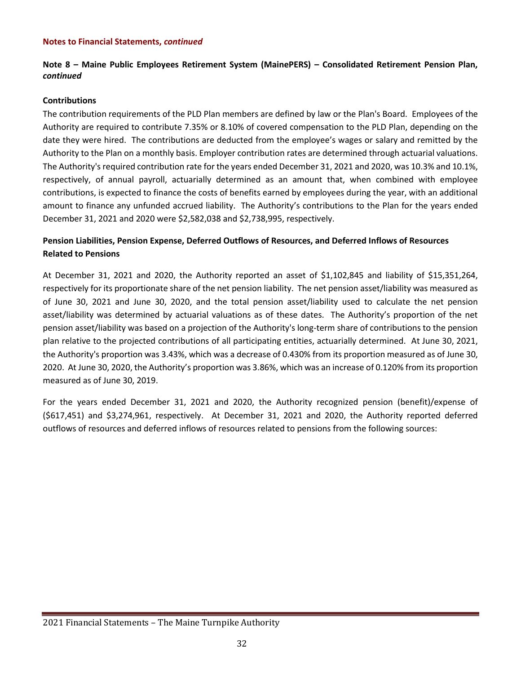# **Note 8 – Maine Public Employees Retirement System (MainePERS) – Consolidated Retirement Pension Plan,**  *continued*

#### **Contributions**

The contribution requirements of the PLD Plan members are defined by law or the Plan's Board. Employees of the Authority are required to contribute 7.35% or 8.10% of covered compensation to the PLD Plan, depending on the date they were hired. The contributions are deducted from the employee's wages or salary and remitted by the Authority to the Plan on a monthly basis. Employer contribution rates are determined through actuarial valuations. The Authority's required contribution rate for the years ended December 31, 2021 and 2020, was 10.3% and 10.1%, respectively, of annual payroll, actuarially determined as an amount that, when combined with employee contributions, is expected to finance the costs of benefits earned by employees during the year, with an additional amount to finance any unfunded accrued liability. The Authority's contributions to the Plan for the years ended December 31, 2021 and 2020 were \$2,582,038 and \$2,738,995, respectively.

# **Pension Liabilities, Pension Expense, Deferred Outflows of Resources, and Deferred Inflows of Resources Related to Pensions**

At December 31, 2021 and 2020, the Authority reported an asset of \$1,102,845 and liability of \$15,351,264, respectively for its proportionate share of the net pension liability. The net pension asset/liability was measured as of June 30, 2021 and June 30, 2020, and the total pension asset/liability used to calculate the net pension asset/liability was determined by actuarial valuations as of these dates. The Authority's proportion of the net pension asset/liability was based on a projection of the Authority's long-term share of contributions to the pension plan relative to the projected contributions of all participating entities, actuarially determined. At June 30, 2021, the Authority's proportion was 3.43%, which was a decrease of 0.430% from its proportion measured as of June 30, 2020. At June 30, 2020, the Authority's proportion was 3.86%, which was an increase of 0.120% from its proportion measured as of June 30, 2019.

For the years ended December 31, 2021 and 2020, the Authority recognized pension (benefit)/expense of (\$617,451) and \$3,274,961, respectively. At December 31, 2021 and 2020, the Authority reported deferred outflows of resources and deferred inflows of resources related to pensions from the following sources: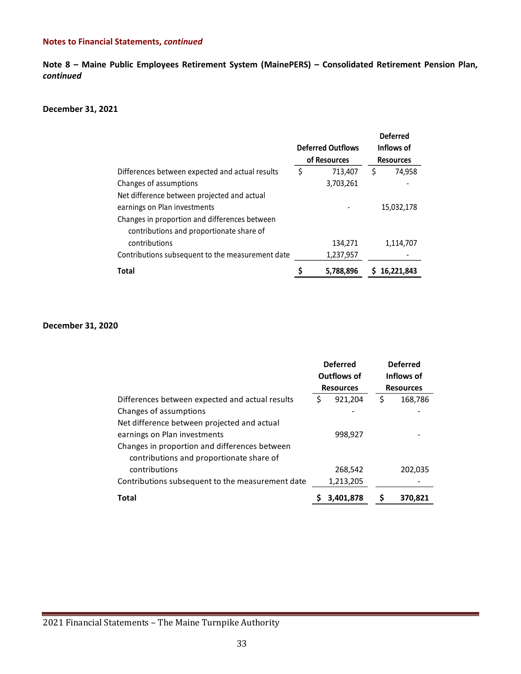**Note 8 – Maine Public Employees Retirement System (MainePERS) – Consolidated Retirement Pension Plan,**  *continued*

#### **December 31, 2021**

|                                                  |              |                          |                  | <b>Deferred</b> |
|--------------------------------------------------|--------------|--------------------------|------------------|-----------------|
|                                                  |              | <b>Deferred Outflows</b> |                  | Inflows of      |
|                                                  | of Resources |                          | <b>Resources</b> |                 |
| Differences between expected and actual results  | \$           | 713,407                  | S                | 74,958          |
| Changes of assumptions                           |              | 3,703,261                |                  |                 |
| Net difference between projected and actual      |              |                          |                  |                 |
| earnings on Plan investments                     |              |                          |                  | 15,032,178      |
| Changes in proportion and differences between    |              |                          |                  |                 |
| contributions and proportionate share of         |              |                          |                  |                 |
| contributions                                    |              | 134,271                  |                  | 1,114,707       |
| Contributions subsequent to the measurement date |              | 1,237,957                |                  |                 |
| <b>Total</b>                                     |              | 5,788,896                |                  | 16,221,843      |

#### **December 31, 2020**

|                                                  | <b>Deferred</b><br>Outflows of<br><b>Resources</b> |           |    | <b>Deferred</b><br>Inflows of<br><b>Resources</b> |  |
|--------------------------------------------------|----------------------------------------------------|-----------|----|---------------------------------------------------|--|
| Differences between expected and actual results  | \$                                                 | 921,204   | \$ | 168,786                                           |  |
| Changes of assumptions                           |                                                    |           |    |                                                   |  |
| Net difference between projected and actual      |                                                    |           |    |                                                   |  |
| earnings on Plan investments                     | 998,927                                            |           |    |                                                   |  |
| Changes in proportion and differences between    |                                                    |           |    |                                                   |  |
| contributions and proportionate share of         |                                                    |           |    |                                                   |  |
| contributions                                    |                                                    | 268,542   |    | 202,035                                           |  |
| Contributions subsequent to the measurement date |                                                    | 1,213,205 |    |                                                   |  |
| <b>Total</b>                                     |                                                    | 3.401.878 | S  | 370,821                                           |  |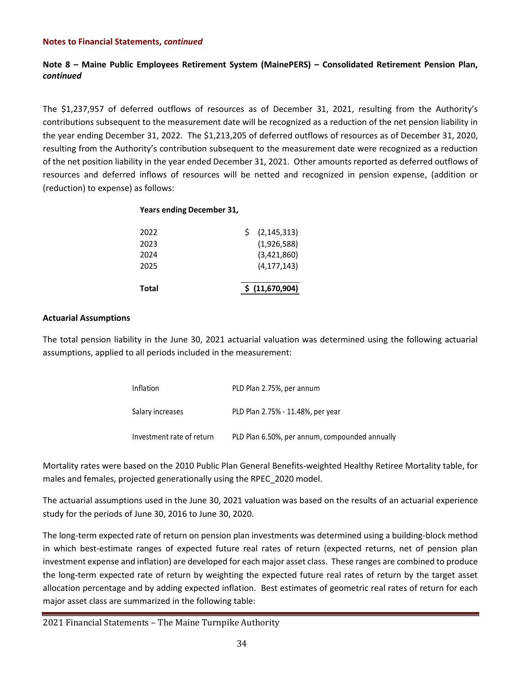# **Note 8 – Maine Public Employees Retirement System (MainePERS) – Consolidated Retirement Pension Plan,**  *continued*

The \$1,237,957 of deferred outflows of resources as of December 31, 2021, resulting from the Authority's contributions subsequent to the measurement date will be recognized as a reduction of the net pension liability in the year ending December 31, 2022. The \$1,213,205 of deferred outflows of resources as of December 31, 2020, resulting from the Authority's contribution subsequent to the measurement date were recognized as a reduction of the net position liability in the year ended December 31, 2021. Other amounts reported as deferred outflows of resources and deferred inflows of resources will be netted and recognized in pension expense, (addition or (reduction) to expense) as follows:

# **Years ending December 31,**

| Total | \$ (11,670,904) |
|-------|-----------------|
| 2025  | (4, 177, 143)   |
| 2024  | (3,421,860)     |
| 2023  | (1,926,588)     |
| 2022  | (2, 145, 313)   |

#### **Actuarial Assumptions**

The total pension liability in the June 30, 2021 actuarial valuation was determined using the following actuarial assumptions, applied to all periods included in the measurement:

| Inflation                 | PLD Plan 2.75%, per annum                      |
|---------------------------|------------------------------------------------|
| Salary increases          | PLD Plan 2.75% - 11.48%, per year              |
| Investment rate of return | PLD Plan 6.50%, per annum, compounded annually |

Mortality rates were based on the 2010 Public Plan General Benefits-weighted Healthy Retiree Mortality table, for males and females, projected generationally using the RPEC\_2020 model.

The actuarial assumptions used in the June 30, 2021 valuation was based on the results of an actuarial experience study for the periods of June 30, 2016 to June 30, 2020.

The long-term expected rate of return on pension plan investments was determined using a building-block method in which best-estimate ranges of expected future real rates of return (expected returns, net of pension plan investment expense and inflation) are developed for each major asset class. These ranges are combined to produce the long-term expected rate of return by weighting the expected future real rates of return by the target asset allocation percentage and by adding expected inflation. Best estimates of geometric real rates of return for each major asset class are summarized in the following table: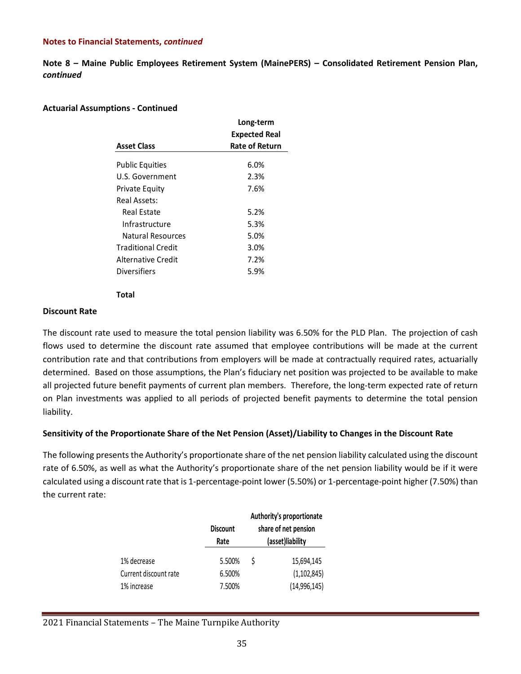**Note 8 – Maine Public Employees Retirement System (MainePERS) – Consolidated Retirement Pension Plan,**  *continued*

# **Actuarial Assumptions - Continued**

|                        | Long-term             |
|------------------------|-----------------------|
|                        | <b>Expected Real</b>  |
| <b>Asset Class</b>     | <b>Rate of Return</b> |
|                        |                       |
| <b>Public Equities</b> | $6.0\%$               |
| U.S. Government        | 2.3%                  |
| Private Equity         | 7.6%                  |
| Real Assets:           |                       |
| Real Estate            | 5.2%                  |
| Infrastructure         | 5.3%                  |
| Natural Resources      | 5.0%                  |
| Traditional Credit     | 3.0%                  |
| Alternative Credit     | 7.2%                  |
| <b>Diversifiers</b>    | 5.9%                  |
|                        |                       |

#### **Total**

#### **Discount Rate**

The discount rate used to measure the total pension liability was 6.50% for the PLD Plan. The projection of cash flows used to determine the discount rate assumed that employee contributions will be made at the current contribution rate and that contributions from employers will be made at contractually required rates, actuarially determined. Based on those assumptions, the Plan's fiduciary net position was projected to be available to make all projected future benefit payments of current plan members. Therefore, the long-term expected rate of return on Plan investments was applied to all periods of projected benefit payments to determine the total pension liability.

# **Sensitivity of the Proportionate Share of the Net Pension (Asset)/Liability to Changes in the Discount Rate**

The following presents the Authority's proportionate share of the net pension liability calculated using the discount rate of 6.50%, as well as what the Authority's proportionate share of the net pension liability would be if it were calculated using a discount rate that is 1-percentage-point lower (5.50%) or 1-percentage-point higher (7.50%) than the current rate:

|                       | <b>Discount</b><br>Rate |   | Authority's proportionate<br>share of net pension<br>(asset)liability |
|-----------------------|-------------------------|---|-----------------------------------------------------------------------|
| 1% decrease           | 5.500%                  | Ŝ | 15,694,145                                                            |
| Current discount rate | 6.500%                  |   | (1, 102, 845)                                                         |
| 1% increase           | 7.500%                  |   | (14,996,145)                                                          |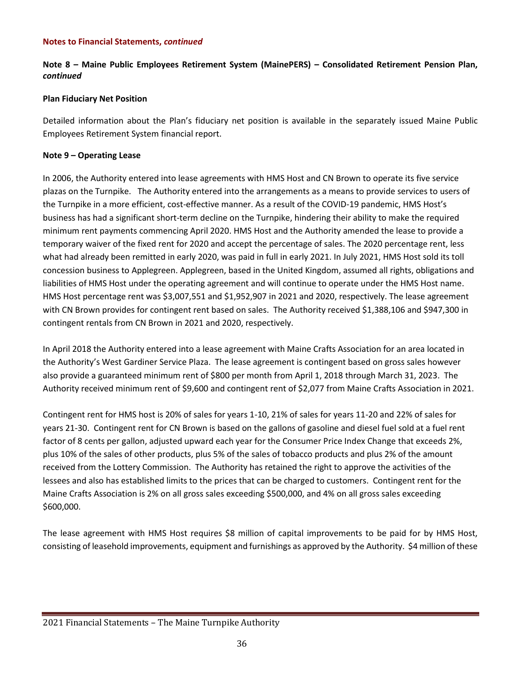# **Note 8 – Maine Public Employees Retirement System (MainePERS) – Consolidated Retirement Pension Plan,**  *continued*

# **Plan Fiduciary Net Position**

Detailed information about the Plan's fiduciary net position is available in the separately issued Maine Public Employees Retirement System financial report.

# **Note 9 – Operating Lease**

In 2006, the Authority entered into lease agreements with HMS Host and CN Brown to operate its five service plazas on the Turnpike. The Authority entered into the arrangements as a means to provide services to users of the Turnpike in a more efficient, cost-effective manner. As a result of the COVID-19 pandemic, HMS Host's business has had a significant short-term decline on the Turnpike, hindering their ability to make the required minimum rent payments commencing April 2020. HMS Host and the Authority amended the lease to provide a temporary waiver of the fixed rent for 2020 and accept the percentage of sales. The 2020 percentage rent, less what had already been remitted in early 2020, was paid in full in early 2021. In July 2021, HMS Host sold its toll concession business to Applegreen. Applegreen, based in the United Kingdom, assumed all rights, obligations and liabilities of HMS Host under the operating agreement and will continue to operate under the HMS Host name. HMS Host percentage rent was \$3,007,551 and \$1,952,907 in 2021 and 2020, respectively. The lease agreement with CN Brown provides for contingent rent based on sales. The Authority received \$1,388,106 and \$947,300 in contingent rentals from CN Brown in 2021 and 2020, respectively.

In April 2018 the Authority entered into a lease agreement with Maine Crafts Association for an area located in the Authority's West Gardiner Service Plaza. The lease agreement is contingent based on gross sales however also provide a guaranteed minimum rent of \$800 per month from April 1, 2018 through March 31, 2023. The Authority received minimum rent of \$9,600 and contingent rent of \$2,077 from Maine Crafts Association in 2021.

Contingent rent for HMS host is 20% of sales for years 1-10, 21% of sales for years 11-20 and 22% of sales for years 21-30. Contingent rent for CN Brown is based on the gallons of gasoline and diesel fuel sold at a fuel rent factor of 8 cents per gallon, adjusted upward each year for the Consumer Price Index Change that exceeds 2%, plus 10% of the sales of other products, plus 5% of the sales of tobacco products and plus 2% of the amount received from the Lottery Commission. The Authority has retained the right to approve the activities of the lessees and also has established limits to the prices that can be charged to customers. Contingent rent for the Maine Crafts Association is 2% on all gross sales exceeding \$500,000, and 4% on all gross sales exceeding \$600,000.

The lease agreement with HMS Host requires \$8 million of capital improvements to be paid for by HMS Host, consisting of leasehold improvements, equipment and furnishings as approved by the Authority. \$4 million of these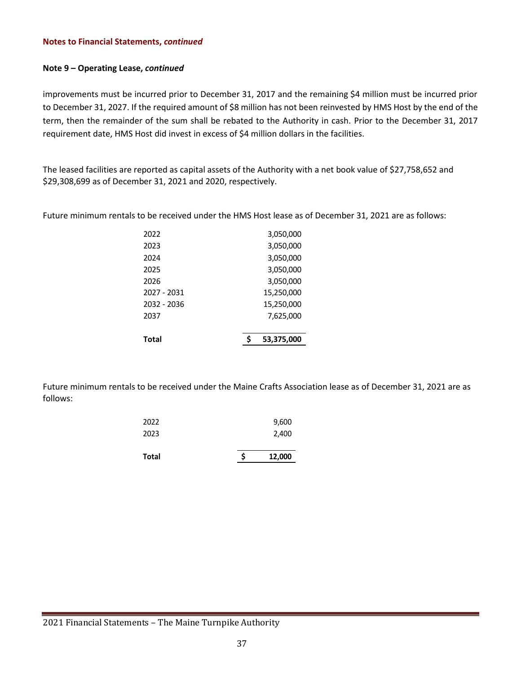# **Note 9 – Operating Lease,** *continued*

improvements must be incurred prior to December 31, 2017 and the remaining \$4 million must be incurred prior to December 31, 2027. If the required amount of \$8 million has not been reinvested by HMS Host by the end of the term, then the remainder of the sum shall be rebated to the Authority in cash. Prior to the December 31, 2017 requirement date, HMS Host did invest in excess of \$4 million dollars in the facilities.

The leased facilities are reported as capital assets of the Authority with a net book value of \$27,758,652 and \$29,308,699 as of December 31, 2021 and 2020, respectively.

Future minimum rentals to be received under the HMS Host lease as of December 31, 2021 are as follows:

| Total       | 53,375,000 |
|-------------|------------|
|             | 7,625,000  |
| 2037        |            |
| 2032 - 2036 | 15,250,000 |
| 2027 - 2031 | 15,250,000 |
| 2026        | 3,050,000  |
| 2025        | 3,050,000  |
| 2024        | 3,050,000  |
| 2023        | 3,050,000  |
| 2022        | 3,050,000  |

Future minimum rentals to be received under the Maine Crafts Association lease as of December 31, 2021 are as follows:

| <b>Total</b> | Ś | 12,000 |
|--------------|---|--------|
| 2023         |   | 2,400  |
| 2022         |   | 9,600  |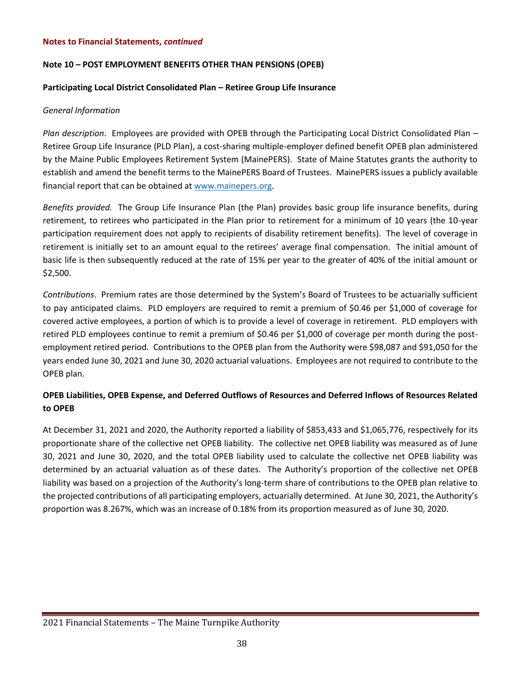# **Note 10 – POST EMPLOYMENT BENEFITS OTHER THAN PENSIONS (OPEB)**

# **Participating Local District Consolidated Plan – Retiree Group Life Insurance**

# *General Information*

*Plan description*. Employees are provided with OPEB through the Participating Local District Consolidated Plan – Retiree Group Life Insurance (PLD Plan), a cost-sharing multiple-employer defined benefit OPEB plan administered by the Maine Public Employees Retirement System (MainePERS). State of Maine Statutes grants the authority to establish and amend the benefit terms to the MainePERS Board of Trustees. MainePERS issues a publicly available financial report that can be obtained at [www.mainepers.org.](http://www.mainepers.org/)

*Benefits provided.* The Group Life Insurance Plan (the Plan) provides basic group life insurance benefits, during retirement, to retirees who participated in the Plan prior to retirement for a minimum of 10 years (the 10-year participation requirement does not apply to recipients of disability retirement benefits). The level of coverage in retirement is initially set to an amount equal to the retirees' average final compensation. The initial amount of basic life is then subsequently reduced at the rate of 15% per year to the greater of 40% of the initial amount or \$2,500.

*Contributions*. Premium rates are those determined by the System's Board of Trustees to be actuarially sufficient to pay anticipated claims. PLD employers are required to remit a premium of \$0.46 per \$1,000 of coverage for covered active employees, a portion of which is to provide a level of coverage in retirement. PLD employers with retired PLD employees continue to remit a premium of \$0.46 per \$1,000 of coverage per month during the postemployment retired period. Contributions to the OPEB plan from the Authority were \$98,087 and \$91,050 for the years ended June 30, 2021 and June 30, 2020 actuarial valuations. Employees are not required to contribute to the OPEB plan.

# **OPEB Liabilities, OPEB Expense, and Deferred Outflows of Resources and Deferred Inflows of Resources Related to OPEB**

At December 31, 2021 and 2020, the Authority reported a liability of \$853,433 and \$1,065,776, respectively for its proportionate share of the collective net OPEB liability. The collective net OPEB liability was measured as of June 30, 2021 and June 30, 2020, and the total OPEB liability used to calculate the collective net OPEB liability was determined by an actuarial valuation as of these dates. The Authority's proportion of the collective net OPEB liability was based on a projection of the Authority's long-term share of contributions to the OPEB plan relative to the projected contributions of all participating employers, actuarially determined. At June 30, 2021, the Authority's proportion was 8.267%, which was an increase of 0.18% from its proportion measured as of June 30, 2020.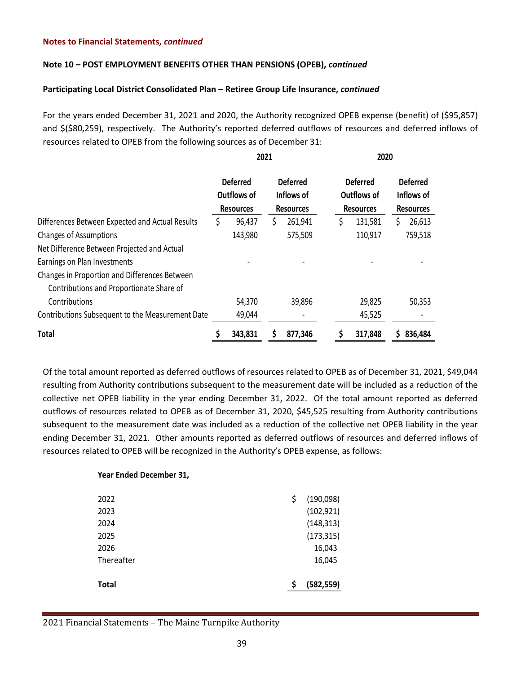# **Note 10 – POST EMPLOYMENT BENEFITS OTHER THAN PENSIONS (OPEB),** *continued*

# **Participating Local District Consolidated Plan – Retiree Group Life Insurance,** *continued*

For the years ended December 31, 2021 and 2020, the Authority recognized OPEB expense (benefit) of (\$95,857) and \$(\$80,259), respectively. The Authority's reported deferred outflows of resources and deferred inflows of resources related to OPEB from the following sources as of December 31:

|                                                                                           | 2021 |                                                    |    |                                                   |    | 2020                                               |   |                                                   |  |
|-------------------------------------------------------------------------------------------|------|----------------------------------------------------|----|---------------------------------------------------|----|----------------------------------------------------|---|---------------------------------------------------|--|
|                                                                                           |      | <b>Deferred</b><br>Outflows of<br><b>Resources</b> |    | <b>Deferred</b><br>Inflows of<br><b>Resources</b> |    | <b>Deferred</b><br>Outflows of<br><b>Resources</b> |   | <b>Deferred</b><br>Inflows of<br><b>Resources</b> |  |
| Differences Between Expected and Actual Results                                           | \$   | 96,437                                             | \$ | 261,941                                           | \$ | 131,581                                            | S | 26,613                                            |  |
| <b>Changes of Assumptions</b>                                                             |      | 143,980                                            |    | 575,509                                           |    | 110,917                                            |   | 759,518                                           |  |
| Net Difference Between Projected and Actual                                               |      |                                                    |    |                                                   |    |                                                    |   |                                                   |  |
| Earnings on Plan Investments                                                              |      |                                                    |    |                                                   |    |                                                    |   |                                                   |  |
| Changes in Proportion and Differences Between<br>Contributions and Proportionate Share of |      |                                                    |    |                                                   |    |                                                    |   |                                                   |  |
| Contributions                                                                             |      | 54,370                                             |    | 39,896                                            |    | 29,825                                             |   | 50,353                                            |  |
| Contributions Subsequent to the Measurement Date                                          |      | 49,044                                             |    |                                                   |    | 45,525                                             |   |                                                   |  |
| <b>Total</b>                                                                              |      | 343,831                                            | S  | 877,346                                           |    | 317,848                                            |   | 836,484                                           |  |

Of the total amount reported as deferred outflows of resources related to OPEB as of December 31, 2021, \$49,044 resulting from Authority contributions subsequent to the measurement date will be included as a reduction of the collective net OPEB liability in the year ending December 31, 2022. Of the total amount reported as deferred outflows of resources related to OPEB as of December 31, 2020, \$45,525 resulting from Authority contributions subsequent to the measurement date was included as a reduction of the collective net OPEB liability in the year ending December 31, 2021. Other amounts reported as deferred outflows of resources and deferred inflows of resources related to OPEB will be recognized in the Authority's OPEB expense, as follows:

| 2022         | \$<br>(190,098) |
|--------------|-----------------|
| 2023         | (102, 921)      |
| 2024         | (148, 313)      |
| 2025         | (173, 315)      |
| 2026         | 16,043          |
| Thereafter   | 16,045          |
| <b>Total</b> | (582, 559)      |

# 2021 Financial Statements – The Maine Turnpike Authority

**Year Ended December 31,**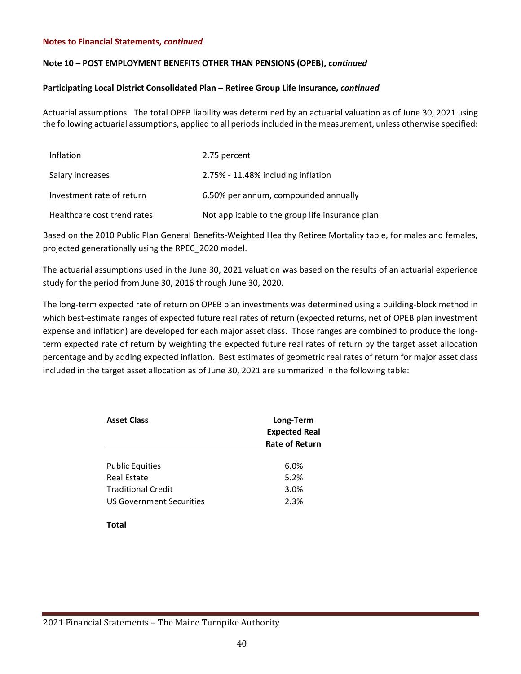# **Note 10 – POST EMPLOYMENT BENEFITS OTHER THAN PENSIONS (OPEB),** *continued*

# **Participating Local District Consolidated Plan – Retiree Group Life Insurance,** *continued*

Actuarial assumptions. The total OPEB liability was determined by an actuarial valuation as of June 30, 2021 using the following actuarial assumptions, applied to all periods included in the measurement, unless otherwise specified:

| <b>Inflation</b>            | 2.75 percent                                    |
|-----------------------------|-------------------------------------------------|
| Salary increases            | 2.75% - 11.48% including inflation              |
| Investment rate of return   | 6.50% per annum, compounded annually            |
| Healthcare cost trend rates | Not applicable to the group life insurance plan |

Based on the 2010 Public Plan General Benefits-Weighted Healthy Retiree Mortality table, for males and females, projected generationally using the RPEC\_2020 model.

The actuarial assumptions used in the June 30, 2021 valuation was based on the results of an actuarial experience study for the period from June 30, 2016 through June 30, 2020.

The long-term expected rate of return on OPEB plan investments was determined using a building-block method in which best-estimate ranges of expected future real rates of return (expected returns, net of OPEB plan investment expense and inflation) are developed for each major asset class. Those ranges are combined to produce the longterm expected rate of return by weighting the expected future real rates of return by the target asset allocation percentage and by adding expected inflation. Best estimates of geometric real rates of return for major asset class included in the target asset allocation as of June 30, 2021 are summarized in the following table:

| Asset Class                     | Long-Term<br><b>Expected Real</b><br><b>Rate of Return</b> |  |  |  |  |  |
|---------------------------------|------------------------------------------------------------|--|--|--|--|--|
|                                 |                                                            |  |  |  |  |  |
| <b>Public Equities</b>          | 6.0%                                                       |  |  |  |  |  |
| Real Estate                     | 5.2%                                                       |  |  |  |  |  |
| Traditional Credit              | 3.0%                                                       |  |  |  |  |  |
| <b>US Government Securities</b> | 2.3%                                                       |  |  |  |  |  |
|                                 |                                                            |  |  |  |  |  |

**Total**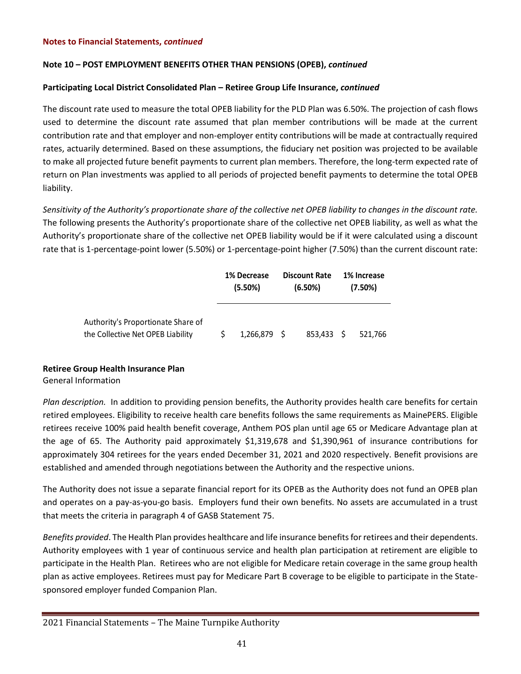# **Note 10 – POST EMPLOYMENT BENEFITS OTHER THAN PENSIONS (OPEB),** *continued*

# **Participating Local District Consolidated Plan – Retiree Group Life Insurance,** *continued*

The discount rate used to measure the total OPEB liability for the PLD Plan was 6.50%. The projection of cash flows used to determine the discount rate assumed that plan member contributions will be made at the current contribution rate and that employer and non-employer entity contributions will be made at contractually required rates, actuarily determined. Based on these assumptions, the fiduciary net position was projected to be available to make all projected future benefit payments to current plan members. Therefore, the long-term expected rate of return on Plan investments was applied to all periods of projected benefit payments to determine the total OPEB liability.

*Sensitivity of the Authority's proportionate share of the collective net OPEB liability to changes in the discount rate.* The following presents the Authority's proportionate share of the collective net OPEB liability, as well as what the Authority's proportionate share of the collective net OPEB liability would be if it were calculated using a discount rate that is 1-percentage-point lower (5.50%) or 1-percentage-point higher (7.50%) than the current discount rate:

|                                                                         | 1% Decrease |             | <b>Discount Rate</b> |            |  | 1% Increase |  |  |
|-------------------------------------------------------------------------|-------------|-------------|----------------------|------------|--|-------------|--|--|
|                                                                         | $(5.50\%)$  |             | (6.50%)              |            |  | (7.50%)     |  |  |
| Authority's Proportionate Share of<br>the Collective Net OPEB Liability |             | 1,266,879 S |                      | 853.433 \$ |  | 521.766     |  |  |

# **Retiree Group Health Insurance Plan**

# General Information

*Plan description.* In addition to providing pension benefits, the Authority provides health care benefits for certain retired employees. Eligibility to receive health care benefits follows the same requirements as MainePERS. Eligible retirees receive 100% paid health benefit coverage, Anthem POS plan until age 65 or Medicare Advantage plan at the age of 65. The Authority paid approximately \$1,319,678 and \$1,390,961 of insurance contributions for approximately 304 retirees for the years ended December 31, 2021 and 2020 respectively. Benefit provisions are established and amended through negotiations between the Authority and the respective unions.

The Authority does not issue a separate financial report for its OPEB as the Authority does not fund an OPEB plan and operates on a pay-as-you-go basis. Employers fund their own benefits. No assets are accumulated in a trust that meets the criteria in paragraph 4 of GASB Statement 75.

*Benefits provided*. The Health Plan provides healthcare and life insurance benefits for retirees and their dependents. Authority employees with 1 year of continuous service and health plan participation at retirement are eligible to participate in the Health Plan. Retirees who are not eligible for Medicare retain coverage in the same group health plan as active employees. Retirees must pay for Medicare Part B coverage to be eligible to participate in the Statesponsored employer funded Companion Plan.

<sup>2021</sup> Financial Statements – The Maine Turnpike Authority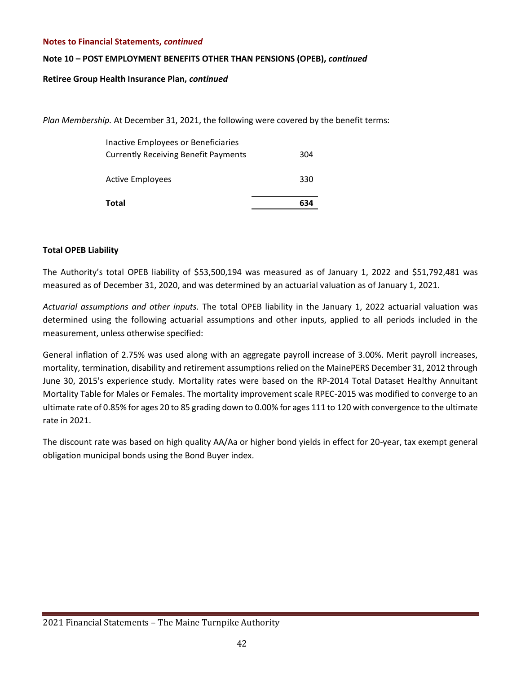# **Note 10 – POST EMPLOYMENT BENEFITS OTHER THAN PENSIONS (OPEB),** *continued*

**Retiree Group Health Insurance Plan,** *continued*

*Plan Membership.* At December 31, 2021, the following were covered by the benefit terms:

| Total                                                                              | 634 |
|------------------------------------------------------------------------------------|-----|
| <b>Active Employees</b>                                                            | 330 |
| Inactive Employees or Beneficiaries<br><b>Currently Receiving Benefit Payments</b> | 304 |

# **Total OPEB Liability**

The Authority's total OPEB liability of \$53,500,194 was measured as of January 1, 2022 and \$51,792,481 was measured as of December 31, 2020, and was determined by an actuarial valuation as of January 1, 2021.

*Actuarial assumptions and other inputs.* The total OPEB liability in the January 1, 2022 actuarial valuation was determined using the following actuarial assumptions and other inputs, applied to all periods included in the measurement, unless otherwise specified:

General inflation of 2.75% was used along with an aggregate payroll increase of 3.00%. Merit payroll increases, mortality, termination, disability and retirement assumptions relied on the MainePERS December 31, 2012 through June 30, 2015's experience study. Mortality rates were based on the RP-2014 Total Dataset Healthy Annuitant Mortality Table for Males or Females. The mortality improvement scale RPEC-2015 was modified to converge to an ultimate rate of 0.85% for ages 20 to 85 grading down to 0.00% for ages 111 to 120 with convergence to the ultimate rate in 2021.

The discount rate was based on high quality AA/Aa or higher bond yields in effect for 20-year, tax exempt general obligation municipal bonds using the Bond Buyer index.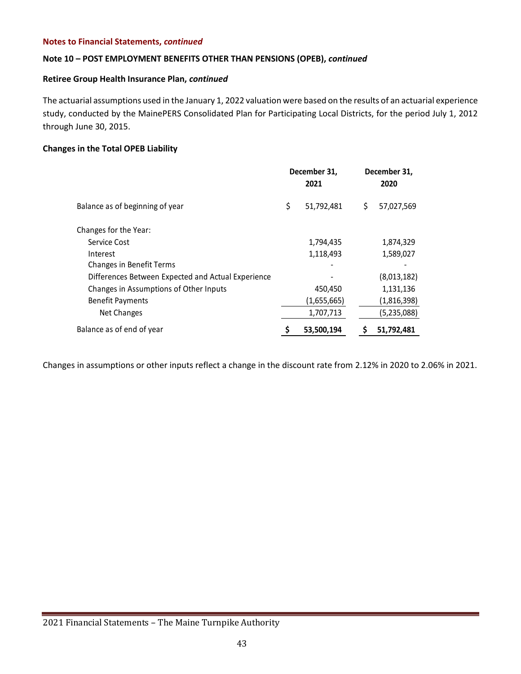# **Note 10 – POST EMPLOYMENT BENEFITS OTHER THAN PENSIONS (OPEB),** *continued*

# **Retiree Group Health Insurance Plan,** *continued*

The actuarial assumptions used in the January 1, 2022 valuation were based on the results of an actuarial experience study, conducted by the MainePERS Consolidated Plan for Participating Local Districts, for the period July 1, 2012 through June 30, 2015.

# **Changes in the Total OPEB Liability**

|                                                    | December 31,<br>2021 |   | December 31,<br>2020 |
|----------------------------------------------------|----------------------|---|----------------------|
| Balance as of beginning of year                    | \$<br>51,792,481     | S | 57,027,569           |
| Changes for the Year:                              |                      |   |                      |
| Service Cost                                       | 1,794,435            |   | 1,874,329            |
| Interest                                           | 1,118,493            |   | 1,589,027            |
| <b>Changes in Benefit Terms</b>                    |                      |   |                      |
| Differences Between Expected and Actual Experience |                      |   | (8,013,182)          |
| Changes in Assumptions of Other Inputs             | 450,450              |   | 1,131,136            |
| <b>Benefit Payments</b>                            | (1,655,665)          |   | (1,816,398)          |
| Net Changes                                        | 1,707,713            |   | (5,235,088)          |
| Balance as of end of year                          | 53,500,194           |   | 51,792,481           |

Changes in assumptions or other inputs reflect a change in the discount rate from 2.12% in 2020 to 2.06% in 2021.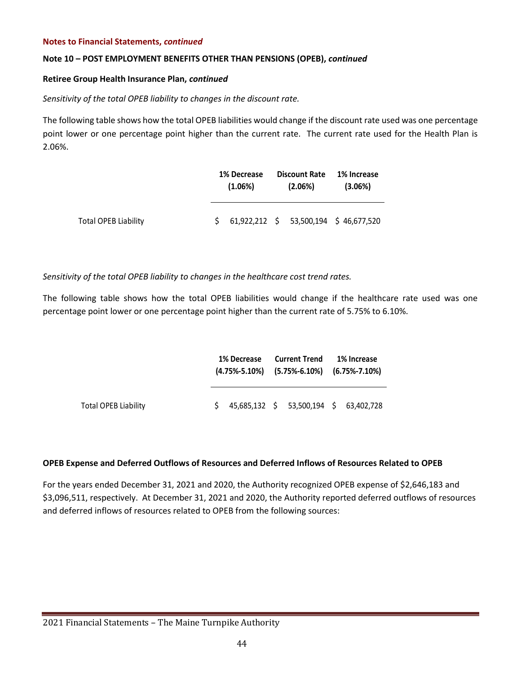# **Note 10 – POST EMPLOYMENT BENEFITS OTHER THAN PENSIONS (OPEB),** *continued*

# **Retiree Group Health Insurance Plan,** *continued*

# *Sensitivity of the total OPEB liability to changes in the discount rate.*

The following table shows how the total OPEB liabilities would change if the discount rate used was one percentage point lower or one percentage point higher than the current rate. The current rate used for the Health Plan is 2.06%.

|                             | 1% Decrease<br>$(1.06\%)$ |  | <b>Discount Rate</b><br>$(2.06\%)$ | 1% Increase<br>$(3.06\%)$                               |  |  |
|-----------------------------|---------------------------|--|------------------------------------|---------------------------------------------------------|--|--|
| <b>Total OPEB Liability</b> |                           |  |                                    | $$61,922,212 \text{ } $53,500,194 \text{ } $46,677,520$ |  |  |

*Sensitivity of the total OPEB liability to changes in the healthcare cost trend rates.* 

The following table shows how the total OPEB liabilities would change if the healthcare rate used was one percentage point lower or one percentage point higher than the current rate of 5.75% to 6.10%.

|                             | 1% Decrease<br>$(4.75\% - 5.10\%)$ $(5.75\% - 6.10\%)$ $(6.75\% - 7.10\%)$ |  | Current Trend                          | 1% Increase |  |  |
|-----------------------------|----------------------------------------------------------------------------|--|----------------------------------------|-------------|--|--|
| <b>Total OPEB Liability</b> |                                                                            |  | 45,685,132 \$ 53,500,194 \$ 63,402,728 |             |  |  |

# **OPEB Expense and Deferred Outflows of Resources and Deferred Inflows of Resources Related to OPEB**

For the years ended December 31, 2021 and 2020, the Authority recognized OPEB expense of \$2,646,183 and \$3,096,511, respectively. At December 31, 2021 and 2020, the Authority reported deferred outflows of resources and deferred inflows of resources related to OPEB from the following sources: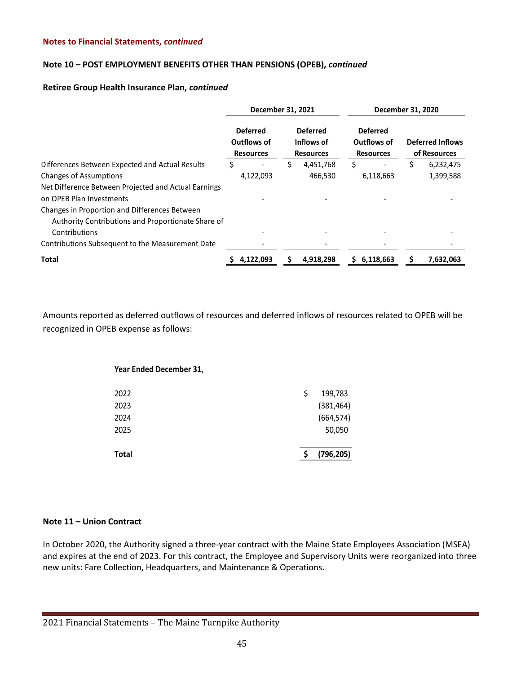# **Note 10 – POST EMPLOYMENT BENEFITS OTHER THAN PENSIONS (OPEB),** *continued*

#### **Retiree Group Health Insurance Plan,** *continued*

|                                                                                                     | December 31, 2021 |                                                                                                         |   |           |                                                    | December 31, 2020 |                                         |           |  |
|-----------------------------------------------------------------------------------------------------|-------------------|---------------------------------------------------------------------------------------------------------|---|-----------|----------------------------------------------------|-------------------|-----------------------------------------|-----------|--|
|                                                                                                     |                   | <b>Deferred</b><br><b>Deferred</b><br>Outflows of<br>Inflows of<br><b>Resources</b><br><b>Resources</b> |   |           | <b>Deferred</b><br>Outflows of<br><b>Resources</b> |                   | <b>Deferred Inflows</b><br>of Resources |           |  |
| Differences Between Expected and Actual Results                                                     | S                 |                                                                                                         | S | 4,451,768 | S                                                  |                   |                                         | 6,232,475 |  |
| <b>Changes of Assumptions</b>                                                                       |                   | 4,122,093                                                                                               |   | 466.530   |                                                    | 6,118,663         |                                         | 1,399,588 |  |
| Net Difference Between Projected and Actual Earnings<br>on OPEB Plan Investments                    |                   |                                                                                                         |   |           |                                                    |                   |                                         |           |  |
| Changes in Proportion and Differences Between<br>Authority Contributions and Proportionate Share of |                   |                                                                                                         |   |           |                                                    |                   |                                         |           |  |
| Contributions                                                                                       |                   |                                                                                                         |   |           |                                                    |                   |                                         |           |  |
| Contributions Subsequent to the Measurement Date                                                    |                   |                                                                                                         |   |           |                                                    |                   |                                         |           |  |
| <b>Total</b>                                                                                        |                   | 4,122,093                                                                                               |   | 4,918,298 |                                                    | 6,118,663         |                                         | 7,632,063 |  |

Amounts reported as deferred outflows of resources and deferred inflows of resources related to OPEB will be recognized in OPEB expense as follows:

# **Year Ended December 31,** 2022 \$ 199,783

| <b>Total</b> | (796, 205) |
|--------------|------------|
| 2025         | 50,050     |
|              |            |
| 2024         | (664, 574) |
| 2023         | (381, 464) |
|              | ------     |

# **Note 11 – Union Contract**

In October 2020, the Authority signed a three-year contract with the Maine State Employees Association (MSEA) and expires at the end of 2023. For this contract, the Employee and Supervisory Units were reorganized into three new units: Fare Collection, Headquarters, and Maintenance & Operations.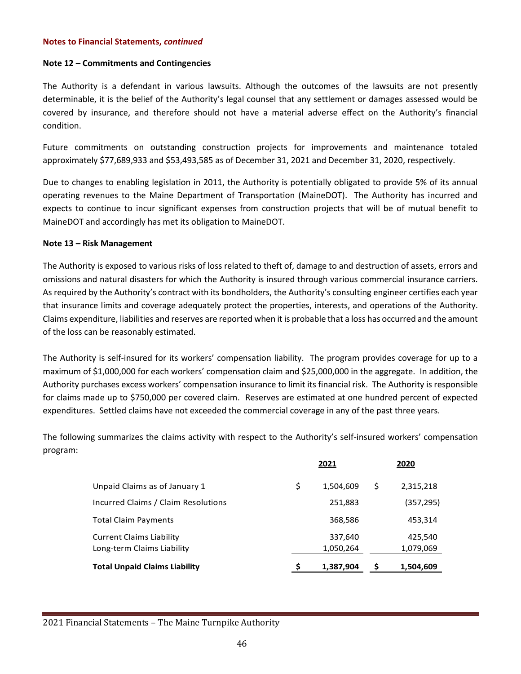# **Note 12 – Commitments and Contingencies**

The Authority is a defendant in various lawsuits. Although the outcomes of the lawsuits are not presently determinable, it is the belief of the Authority's legal counsel that any settlement or damages assessed would be covered by insurance, and therefore should not have a material adverse effect on the Authority's financial condition.

Future commitments on outstanding construction projects for improvements and maintenance totaled approximately \$77,689,933 and \$53,493,585 as of December 31, 2021 and December 31, 2020, respectively.

Due to changes to enabling legislation in 2011, the Authority is potentially obligated to provide 5% of its annual operating revenues to the Maine Department of Transportation (MaineDOT). The Authority has incurred and expects to continue to incur significant expenses from construction projects that will be of mutual benefit to MaineDOT and accordingly has met its obligation to MaineDOT.

#### **Note 13 – Risk Management**

The Authority is exposed to various risks of loss related to theft of, damage to and destruction of assets, errors and omissions and natural disasters for which the Authority is insured through various commercial insurance carriers. As required by the Authority's contract with its bondholders, the Authority's consulting engineer certifies each year that insurance limits and coverage adequately protect the properties, interests, and operations of the Authority. Claims expenditure, liabilities and reserves are reported when it is probable that a loss has occurred and the amount of the loss can be reasonably estimated.

The Authority is self-insured for its workers' compensation liability. The program provides coverage for up to a maximum of \$1,000,000 for each workers' compensation claim and \$25,000,000 in the aggregate. In addition, the Authority purchases excess workers' compensation insurance to limit its financial risk. The Authority is responsible for claims made up to \$750,000 per covered claim. Reserves are estimated at one hundred percent of expected expenditures. Settled claims have not exceeded the commercial coverage in any of the past three years.

The following summarizes the claims activity with respect to the Authority's self-insured workers' compensation program:

|                                      | 2021 |           |    | 2020      |  |  |
|--------------------------------------|------|-----------|----|-----------|--|--|
| Unpaid Claims as of January 1        | \$   | 1,504,609 | \$ | 2,315,218 |  |  |
| Incurred Claims / Claim Resolutions  |      | 251,883   |    | (357,295) |  |  |
| <b>Total Claim Payments</b>          |      | 368,586   |    | 453,314   |  |  |
| <b>Current Claims Liability</b>      |      | 337,640   |    | 425,540   |  |  |
| Long-term Claims Liability           |      | 1,050,264 |    | 1,079,069 |  |  |
| <b>Total Unpaid Claims Liability</b> |      | 1,387,904 | S  | 1,504,609 |  |  |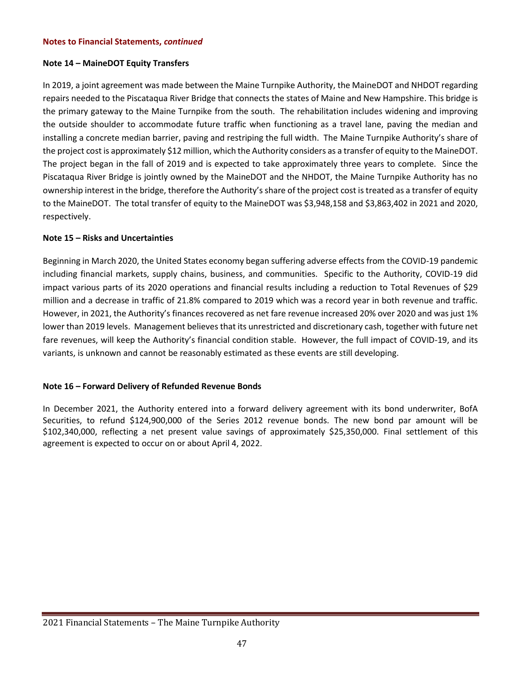# **Note 14 – MaineDOT Equity Transfers**

In 2019, a joint agreement was made between the Maine Turnpike Authority, the MaineDOT and NHDOT regarding repairs needed to the Piscataqua River Bridge that connects the states of Maine and New Hampshire. This bridge is the primary gateway to the Maine Turnpike from the south. The rehabilitation includes widening and improving the outside shoulder to accommodate future traffic when functioning as a travel lane, paving the median and installing a concrete median barrier, paving and restriping the full width. The Maine Turnpike Authority's share of the project cost is approximately \$12 million, which the Authority considers as a transfer of equity to the MaineDOT. The project began in the fall of 2019 and is expected to take approximately three years to complete. Since the Piscataqua River Bridge is jointly owned by the MaineDOT and the NHDOT, the Maine Turnpike Authority has no ownership interest in the bridge, therefore the Authority's share of the project cost is treated as a transfer of equity to the MaineDOT. The total transfer of equity to the MaineDOT was \$3,948,158 and \$3,863,402 in 2021 and 2020, respectively.

# **Note 15 – Risks and Uncertainties**

Beginning in March 2020, the United States economy began suffering adverse effects from the COVID-19 pandemic including financial markets, supply chains, business, and communities. Specific to the Authority, COVID-19 did impact various parts of its 2020 operations and financial results including a reduction to Total Revenues of \$29 million and a decrease in traffic of 21.8% compared to 2019 which was a record year in both revenue and traffic. However, in 2021, the Authority's finances recovered as net fare revenue increased 20% over 2020 and was just 1% lower than 2019 levels. Management believes that its unrestricted and discretionary cash, together with future net fare revenues, will keep the Authority's financial condition stable. However, the full impact of COVID-19, and its variants, is unknown and cannot be reasonably estimated as these events are still developing.

# **Note 16 – Forward Delivery of Refunded Revenue Bonds**

In December 2021, the Authority entered into a forward delivery agreement with its bond underwriter, BofA Securities, to refund \$124,900,000 of the Series 2012 revenue bonds. The new bond par amount will be \$102,340,000, reflecting a net present value savings of approximately \$25,350,000. Final settlement of this agreement is expected to occur on or about April 4, 2022.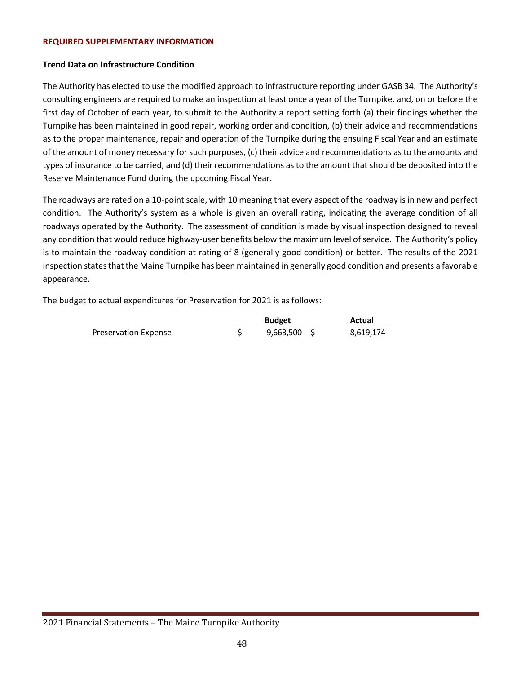#### **REQUIRED SUPPLEMENTARY INFORMATION**

# **Trend Data on Infrastructure Condition**

The Authority has elected to use the modified approach to infrastructure reporting under GASB 34. The Authority's consulting engineers are required to make an inspection at least once a year of the Turnpike, and, on or before the first day of October of each year, to submit to the Authority a report setting forth (a) their findings whether the Turnpike has been maintained in good repair, working order and condition, (b) their advice and recommendations as to the proper maintenance, repair and operation of the Turnpike during the ensuing Fiscal Year and an estimate of the amount of money necessary for such purposes, (c) their advice and recommendations as to the amounts and types of insurance to be carried, and (d) their recommendations as to the amount that should be deposited into the Reserve Maintenance Fund during the upcoming Fiscal Year.

The roadways are rated on a 10-point scale, with 10 meaning that every aspect of the roadway is in new and perfect condition. The Authority's system as a whole is given an overall rating, indicating the average condition of all roadways operated by the Authority. The assessment of condition is made by visual inspection designed to reveal any condition that would reduce highway-user benefits below the maximum level of service. The Authority's policy is to maintain the roadway condition at rating of 8 (generally good condition) or better. The results of the 2021 inspection states that the Maine Turnpike has been maintained in generally good condition and presents a favorable appearance.

The budget to actual expenditures for Preservation for 2021 is as follows:

|                      | <b>Budget</b>  | Actual    |
|----------------------|----------------|-----------|
| Preservation Expense | $9,663,500$ \$ | 8,619,174 |

<sup>2021</sup> Financial Statements – The Maine Turnpike Authority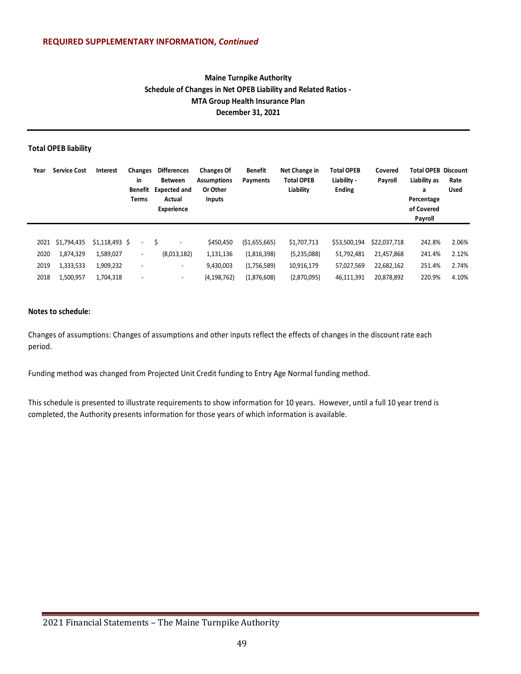# **Maine Turnpike Authority Schedule of Changes in Net OPEB Liability and Related Ratios - MTA Group Health Insurance Plan December 31, 2021**

#### **Total OPEB liability**

| Year | <b>Service Cost</b> | Interest        | Changes<br>in<br>Benefit<br>Terms | <b>Differences</b><br><b>Between</b><br><b>Expected and</b><br>Actual<br><b>Experience</b> | <b>Changes Of</b><br><b>Assumptions</b><br>Or Other<br><b>Inputs</b> | Benefit<br>Payments | Net Change in<br><b>Total OPEB</b><br>Liability | <b>Total OPEB</b><br>Liability -<br><b>Ending</b> | Covered<br>Payroll |        | <b>Total OPEB Discount</b><br>Rate<br><b>Used</b> |
|------|---------------------|-----------------|-----------------------------------|--------------------------------------------------------------------------------------------|----------------------------------------------------------------------|---------------------|-------------------------------------------------|---------------------------------------------------|--------------------|--------|---------------------------------------------------|
|      |                     |                 |                                   |                                                                                            |                                                                      |                     |                                                 |                                                   |                    |        |                                                   |
| 2021 | \$1,794,435         | $$1,118,493$ \$ | $\overline{\phantom{a}}$          | S                                                                                          | \$450,450                                                            | ( \$1,655,665)      | \$1,707,713                                     | \$53,500,194                                      | \$22,037,718       | 242.8% | 2.06%                                             |
| 2020 | 1,874,329           | 1,589,027       | $\sim$                            | (8,013,182)                                                                                | 1,131,136                                                            | (1,816,398)         | (5,235,088)                                     | 51,792,481                                        | 21,457,868         | 241.4% | 2.12%                                             |
| 2019 | 1,333,533           | 1,909,232       | $\overline{\phantom{a}}$          | $\overline{\phantom{a}}$                                                                   | 9.430.003                                                            | (1,756,589)         | 10,916,179                                      | 57,027,569                                        | 22,682,162         | 251.4% | 2.74%                                             |
| 2018 | 1,500,957           | 1,704,318       | $\overline{\phantom{a}}$          | $\overline{\phantom{a}}$                                                                   | (4, 198, 762)                                                        | (1,876,608)         | (2,870,095)                                     | 46,111,391                                        | 20,878,892         | 220.9% | 4.10%                                             |

#### **Notes to schedule:**

Changes of assumptions: Changes of assumptions and other inputs reflect the effects of changes in the discount rate each period.

Funding method was changed from Projected Unit Credit funding to Entry Age Normal funding method.

This schedule is presented to illustrate requirements to show information for 10 years. However, until a full 10 year trend is completed, the Authority presents information for those years of which information is available.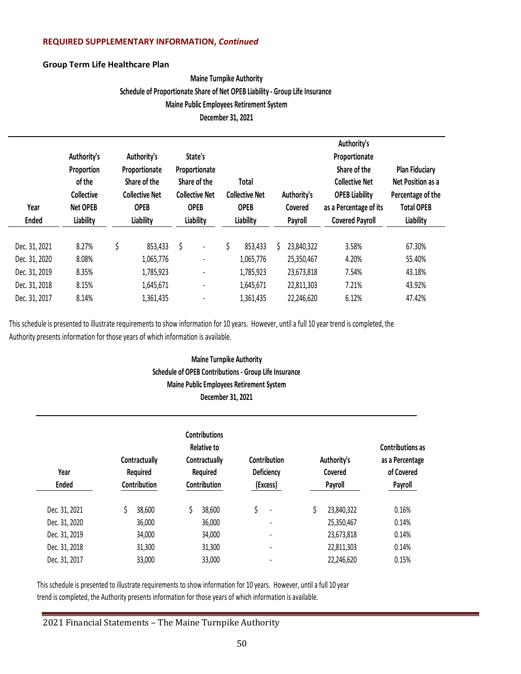# **REQUIRED SUPPLEMENTARY INFORMATION,** *Continued*

# **Group Term Life Healthcare Plan**

# **Maine Turnpike Authority Schedule of Proportionate Share of Net OPEB Liability - Group Life Insurance Maine Public Employees Retirement System December 31, 2021**

| Year<br><b>Ended</b> | Authority's<br>Proportion<br>of the<br><b>Collective</b><br><b>Net OPEB</b><br>Liability | Authority's<br>Proportionate<br>Share of the<br><b>Collective Net</b><br><b>OPEB</b><br>Liability |    | State's<br>Proportionate<br>Share of the<br><b>Collective Net</b><br><b>OPEB</b><br>Liability |    | Total<br><b>Collective Net</b><br><b>OPEB</b><br>Liability |   | Authority's<br>Covered<br>Payroll | Authority's<br>Proportionate<br>Share of the<br><b>Collective Net</b><br><b>OPEB Liability</b><br>as a Percentage of its<br><b>Covered Payroll</b> | <b>Plan Fiduciary</b><br>Net Position as a<br>Percentage of the<br><b>Total OPEB</b><br>Liability |  |
|----------------------|------------------------------------------------------------------------------------------|---------------------------------------------------------------------------------------------------|----|-----------------------------------------------------------------------------------------------|----|------------------------------------------------------------|---|-----------------------------------|----------------------------------------------------------------------------------------------------------------------------------------------------|---------------------------------------------------------------------------------------------------|--|
| Dec. 31, 2021        | 8.27%                                                                                    | \$<br>853,433                                                                                     | \$ | ٠                                                                                             | \$ | 853,433                                                    | Ś | 23,840,322                        | 3.58%                                                                                                                                              | 67.30%                                                                                            |  |
| Dec. 31, 2020        | 8.08%                                                                                    | 1,065,776                                                                                         |    | ٠                                                                                             |    | 1,065,776                                                  |   | 25,350,467                        | 4.20%                                                                                                                                              | 55.40%                                                                                            |  |
| Dec. 31, 2019        | 8.35%                                                                                    | 1,785,923                                                                                         |    | $\qquad \qquad \blacksquare$                                                                  |    | 1,785,923                                                  |   | 23,673,818                        | 7.54%                                                                                                                                              | 43.18%                                                                                            |  |
| Dec. 31, 2018        | 8.15%                                                                                    | 1,645,671                                                                                         |    | $\qquad \qquad \blacksquare$                                                                  |    | 1,645,671                                                  |   | 22,811,303                        | 7.21%                                                                                                                                              | 43.92%                                                                                            |  |
| Dec. 31, 2017        | 8.14%                                                                                    | 1,361,435                                                                                         |    |                                                                                               |    | 1,361,435                                                  |   | 22,246,620                        | 6.12%                                                                                                                                              | 47.42%                                                                                            |  |

This schedule is presented to illustrate requirements to show information for 10 years. However, until a full 10 year trend is completed, the Authority presents information for those years of which information is available.

# **Maine Turnpike Authority Schedule of OPEB Contributions - Group Life Insurance Maine Public Employees Retirement System December 31, 2021**

| Year<br><b>Ended</b> | Contractually<br>Required<br>Contribution | <b>Contributions</b><br>Relative to<br>Contractually<br>Required<br>Contribution | Contribution<br>Deficiency<br>(Excess) | Authority's<br>Covered<br>Payroll | <b>Contributions as</b><br>as a Percentage<br>of Covered<br>Payroll |  |
|----------------------|-------------------------------------------|----------------------------------------------------------------------------------|----------------------------------------|-----------------------------------|---------------------------------------------------------------------|--|
| Dec. 31, 2021        | 38,600                                    | 38,600                                                                           | \$<br>$\overline{\phantom{a}}$         | 23,840,322                        | 0.16%                                                               |  |
| Dec. 31, 2020        | 36,000                                    | 36,000                                                                           |                                        | 25,350,467                        | 0.14%                                                               |  |
| Dec. 31, 2019        | 34,000                                    | 34,000                                                                           | ۰                                      | 23,673,818                        | 0.14%                                                               |  |
| Dec. 31, 2018        | 31,300                                    | 31,300                                                                           | $\overline{\phantom{a}}$               | 22,811,303                        | 0.14%                                                               |  |
| Dec. 31, 2017        | 33,000                                    | 33,000                                                                           |                                        | 22,246,620                        | 0.15%                                                               |  |

This schedule is presented to illustrate requirements to show information for 10 years. However, until a full 10 year trend is completed, the Authority presents information for those years of which information is available.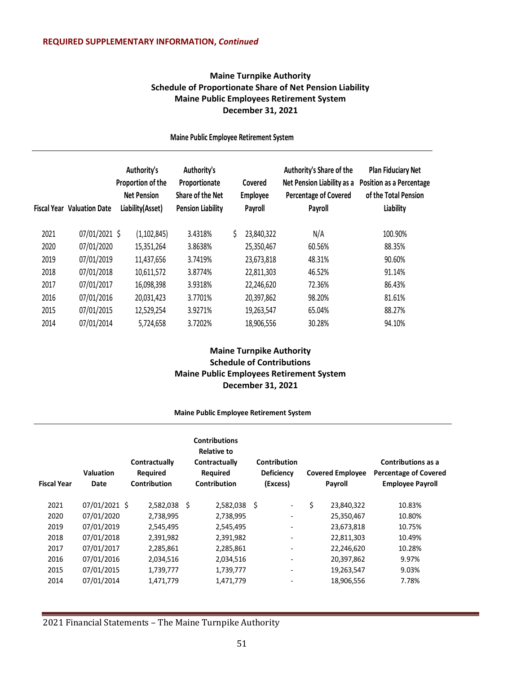# **Maine Turnpike Authority Schedule of Proportionate Share of Net Pension Liability Maine Public Employees Retirement System December 31, 2021**

|      | <b>Fiscal Year Valuation Date</b> | Authority's<br>Proportion of the<br><b>Net Pension</b><br>Liability(Asset) | Authority's<br>Proportionate<br>Share of the Net<br><b>Pension Liability</b> |    | Covered<br>Employee<br>Payroll | Authority's Share of the<br>Net Pension Liability as a<br><b>Percentage of Covered</b><br>Payroll | <b>Plan Fiduciary Net</b><br><b>Position as a Percentage</b><br>of the Total Pension<br>Liability |  |
|------|-----------------------------------|----------------------------------------------------------------------------|------------------------------------------------------------------------------|----|--------------------------------|---------------------------------------------------------------------------------------------------|---------------------------------------------------------------------------------------------------|--|
| 2021 | 07/01/2021 \$                     | (1, 102, 845)                                                              | 3.4318%                                                                      | \$ | 23,840,322                     | N/A                                                                                               | 100.90%                                                                                           |  |
| 2020 | 07/01/2020                        | 15,351,264                                                                 | 3.8638%                                                                      |    | 25,350,467                     | 60.56%                                                                                            | 88.35%                                                                                            |  |
| 2019 | 07/01/2019                        | 11,437,656                                                                 | 3.7419%                                                                      |    | 23,673,818                     | 48.31%                                                                                            | 90.60%                                                                                            |  |
| 2018 | 07/01/2018                        | 10,611,572                                                                 | 3.8774%                                                                      |    | 22,811,303                     | 46.52%                                                                                            | 91.14%                                                                                            |  |
| 2017 | 07/01/2017                        | 16,098,398                                                                 | 3.9318%                                                                      |    | 22,246,620                     | 72.36%                                                                                            | 86.43%                                                                                            |  |
| 2016 | 07/01/2016                        | 20,031,423                                                                 | 3.7701%                                                                      |    | 20,397,862                     | 98.20%                                                                                            | 81.61%                                                                                            |  |
| 2015 | 07/01/2015                        | 12,529,254                                                                 | 3.9271%                                                                      |    | 19,263,547                     | 65.04%                                                                                            | 88.27%                                                                                            |  |
| 2014 | 07/01/2014                        | 5,724,658                                                                  | 3.7202%                                                                      |    | 18,906,556                     | 30.28%                                                                                            | 94.10%                                                                                            |  |

**Maine Public Employee Retirement System**

# **Maine Turnpike Authority Schedule of Contributions Maine Public Employees Retirement System December 31, 2021**

#### **Maine Public Employee Retirement System**

| <b>Fiscal Year</b> | <b>Valuation</b><br>Date | Contractually<br><b>Required</b><br><b>Contribution</b> |   | <b>Contributions</b><br><b>Relative to</b><br>Contractually<br>Required<br>Contribution |     | <b>Contribution</b><br><b>Deficiency</b><br>(Excess) | <b>Covered Employee</b><br>Payroll | Contributions as a<br><b>Percentage of Covered</b><br><b>Employee Payroll</b> |
|--------------------|--------------------------|---------------------------------------------------------|---|-----------------------------------------------------------------------------------------|-----|------------------------------------------------------|------------------------------------|-------------------------------------------------------------------------------|
| 2021               | 07/01/2021 \$            | 2,582,038                                               | Ŝ | 2,582,038                                                                               | - Ś | $\overline{\phantom{a}}$                             | \$<br>23,840,322                   | 10.83%                                                                        |
| 2020               | 07/01/2020               | 2,738,995                                               |   | 2,738,995                                                                               |     | $\overline{\phantom{a}}$                             | 25,350,467                         | 10.80%                                                                        |
| 2019               | 07/01/2019               | 2,545,495                                               |   | 2,545,495                                                                               |     | $\overline{\phantom{a}}$                             | 23,673,818                         | 10.75%                                                                        |
| 2018               | 07/01/2018               | 2,391,982                                               |   | 2,391,982                                                                               |     | $\overline{\phantom{a}}$                             | 22,811,303                         | 10.49%                                                                        |
| 2017               | 07/01/2017               | 2,285,861                                               |   | 2,285,861                                                                               |     | $\overline{\phantom{a}}$                             | 22,246,620                         | 10.28%                                                                        |
| 2016               | 07/01/2016               | 2,034,516                                               |   | 2,034,516                                                                               |     | $\overline{\phantom{a}}$                             | 20,397,862                         | 9.97%                                                                         |
| 2015               | 07/01/2015               | 1,739,777                                               |   | 1,739,777                                                                               |     | $\overline{\phantom{a}}$                             | 19,263,547                         | 9.03%                                                                         |
| 2014               | 07/01/2014               | 1,471,779                                               |   | 1,471,779                                                                               |     | $\qquad \qquad \blacksquare$                         | 18,906,556                         | 7.78%                                                                         |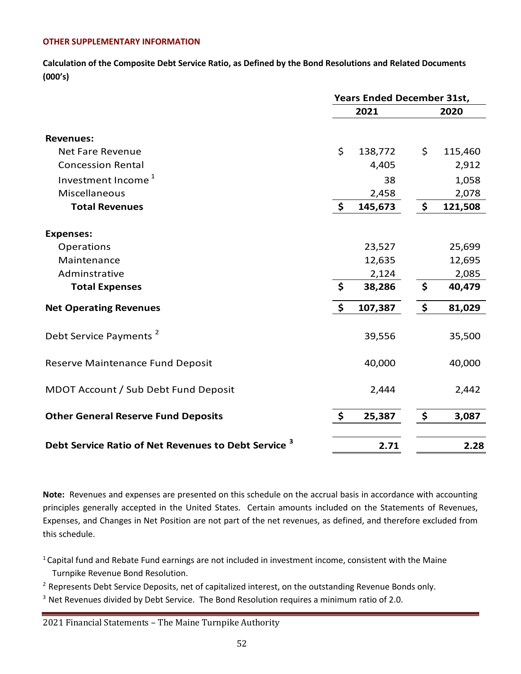# **OTHER SUPPLEMENTARY INFORMATION**

**Calculation of the Composite Debt Service Ratio, as Defined by the Bond Resolutions and Related Documents (000's)**

|                                                           |               | <b>Years Ended December 31st,</b> |               |  |  |
|-----------------------------------------------------------|---------------|-----------------------------------|---------------|--|--|
|                                                           |               | 2021                              | 2020          |  |  |
| <b>Revenues:</b>                                          |               |                                   |               |  |  |
| <b>Net Fare Revenue</b>                                   | \$            | 138,772                           | \$<br>115,460 |  |  |
| <b>Concession Rental</b>                                  |               | 4,405                             | 2,912         |  |  |
| Investment Income <sup>1</sup>                            |               | 38                                | 1,058         |  |  |
| Miscellaneous                                             |               | 2,458                             | 2,078         |  |  |
| <b>Total Revenues</b>                                     | $\frac{1}{2}$ | 145,673                           | \$<br>121,508 |  |  |
| <b>Expenses:</b>                                          |               |                                   |               |  |  |
| Operations                                                |               | 23,527                            | 25,699        |  |  |
| Maintenance                                               |               | 12,635                            | 12,695        |  |  |
| Adminstrative                                             |               | 2,124                             | 2,085         |  |  |
| <b>Total Expenses</b>                                     | \$            | 38,286                            | \$<br>40,479  |  |  |
| <b>Net Operating Revenues</b>                             | \$            | 107,387                           | \$<br>81,029  |  |  |
| Debt Service Payments <sup>2</sup>                        |               | 39,556                            | 35,500        |  |  |
| Reserve Maintenance Fund Deposit                          |               | 40,000                            | 40,000        |  |  |
| MDOT Account / Sub Debt Fund Deposit                      |               | 2,444                             | 2,442         |  |  |
| <b>Other General Reserve Fund Deposits</b>                | \$            | 25,387                            | \$<br>3,087   |  |  |
| <b>Debt Service Ratio of Net Revenues to Debt Service</b> |               | 2.71                              | 2.28          |  |  |

**Note:** Revenues and expenses are presented on this schedule on the accrual basis in accordance with accounting principles generally accepted in the United States. Certain amounts included on the Statements of Revenues, Expenses, and Changes in Net Position are not part of the net revenues, as defined, and therefore excluded from this schedule.

<sup>1</sup> Capital fund and Rebate Fund earnings are not included in investment income, consistent with the Maine Turnpike Revenue Bond Resolution.

<sup>2</sup> Represents Debt Service Deposits, net of capitalized interest, on the outstanding Revenue Bonds only.

 $3$  Net Revenues divided by Debt Service. The Bond Resolution requires a minimum ratio of 2.0.